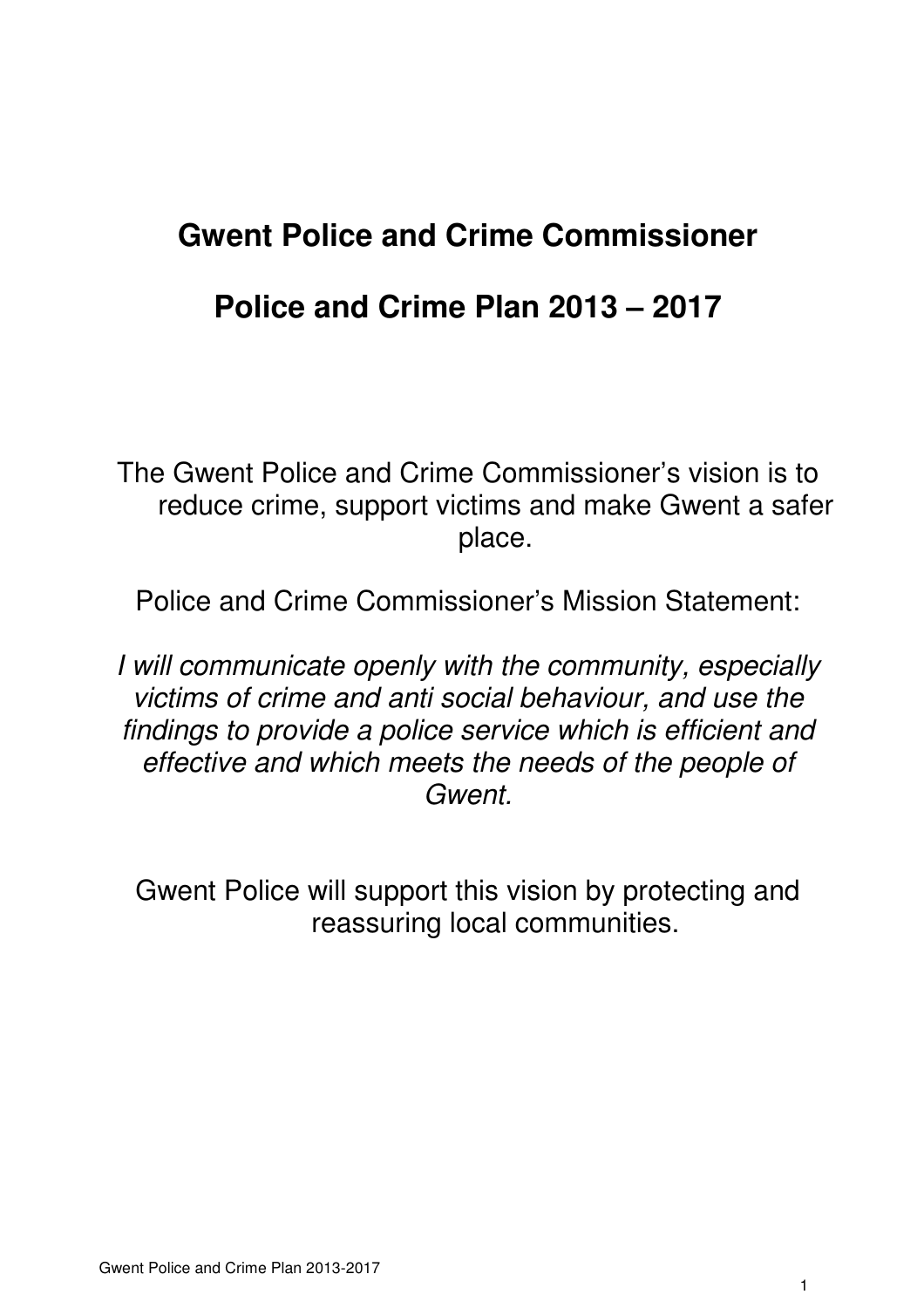# **Gwent Police and Crime Commissioner**

## **Police and Crime Plan 2013 – 2017**

The Gwent Police and Crime Commissioner's vision is to reduce crime, support victims and make Gwent a safer place.

Police and Crime Commissioner's Mission Statement:

I will communicate openly with the community, especially victims of crime and anti social behaviour, and use the findings to provide a police service which is efficient and effective and which meets the needs of the people of Gwent.

Gwent Police will support this vision by protecting and reassuring local communities.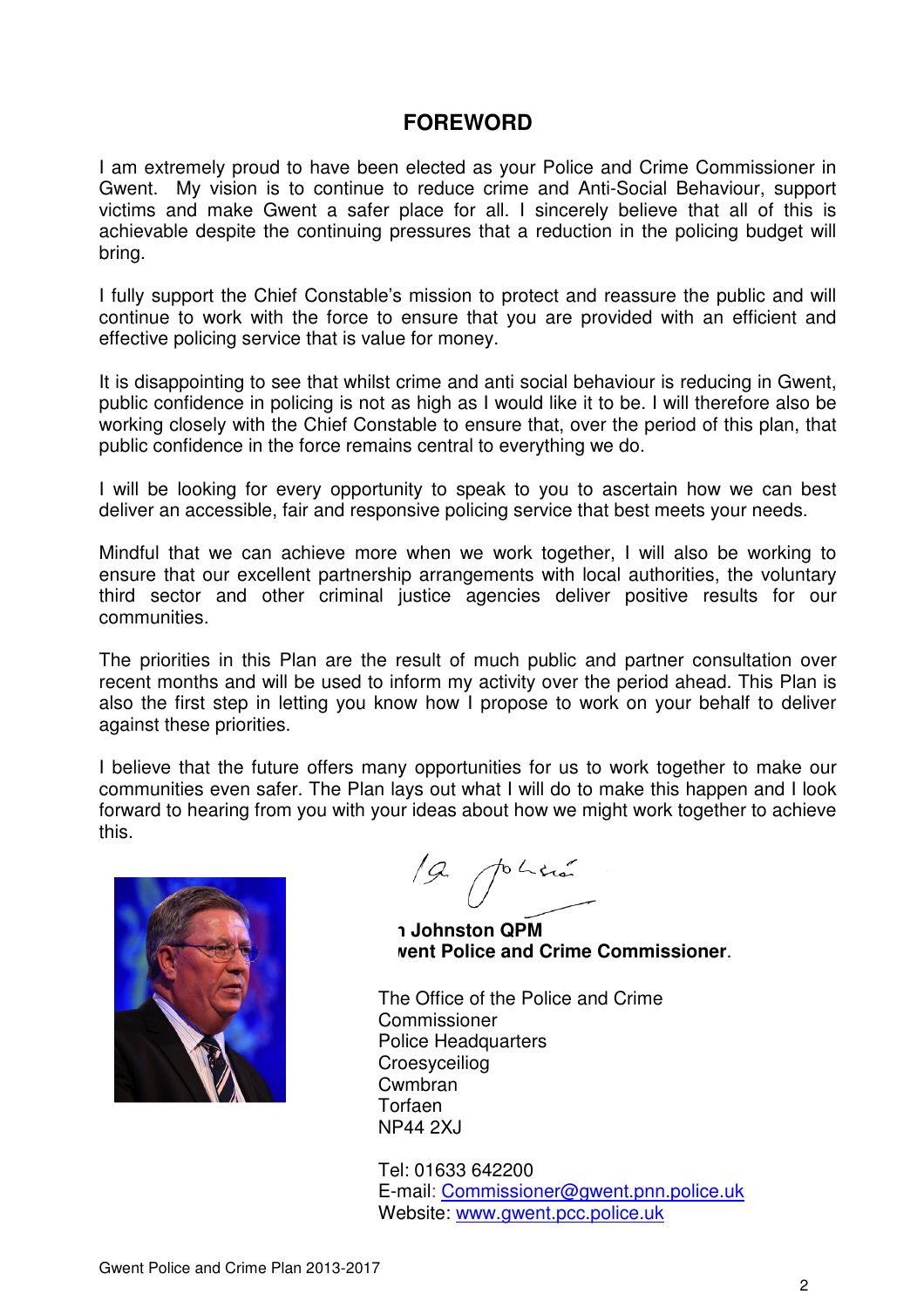## **FOREWORD**

I am extremely proud to have been elected as your Police and Crime Commissioner in Gwent. My vision is to continue to reduce crime and Anti-Social Behaviour, support victims and make Gwent a safer place for all. I sincerely believe that all of this is achievable despite the continuing pressures that a reduction in the policing budget will bring.

I fully support the Chief Constable's mission to protect and reassure the public and will continue to work with the force to ensure that you are provided with an efficient and effective policing service that is value for money.

It is disappointing to see that whilst crime and anti social behaviour is reducing in Gwent, public confidence in policing is not as high as I would like it to be. I will therefore also be working closely with the Chief Constable to ensure that, over the period of this plan, that public confidence in the force remains central to everything we do.

I will be looking for every opportunity to speak to you to ascertain how we can best deliver an accessible, fair and responsive policing service that best meets your needs.

Mindful that we can achieve more when we work together, I will also be working to ensure that our excellent partnership arrangements with local authorities, the voluntary third sector and other criminal justice agencies deliver positive results for our communities.

The priorities in this Plan are the result of much public and partner consultation over recent months and will be used to inform my activity over the period ahead. This Plan is also the first step in letting you know how I propose to work on your behalf to deliver against these priorities.

I believe that the future offers many opportunities for us to work together to make our communities even safer. The Plan lays out what I will do to make this happen and I look forward to hearing from you with your ideas about how we might work together to achieve this.



19. politie

**Ian Johnston QPM Gwent Police and Crime Commissioner**.

The Office of the Police and Crime Commissioner Police Headquarters Croesyceiliog Cwmbran Torfaen NP44 2XJ

Tel: 01633 642200 E-mail: Commissioner@gwent.pnn.police.uk Website: www.gwent.pcc.police.uk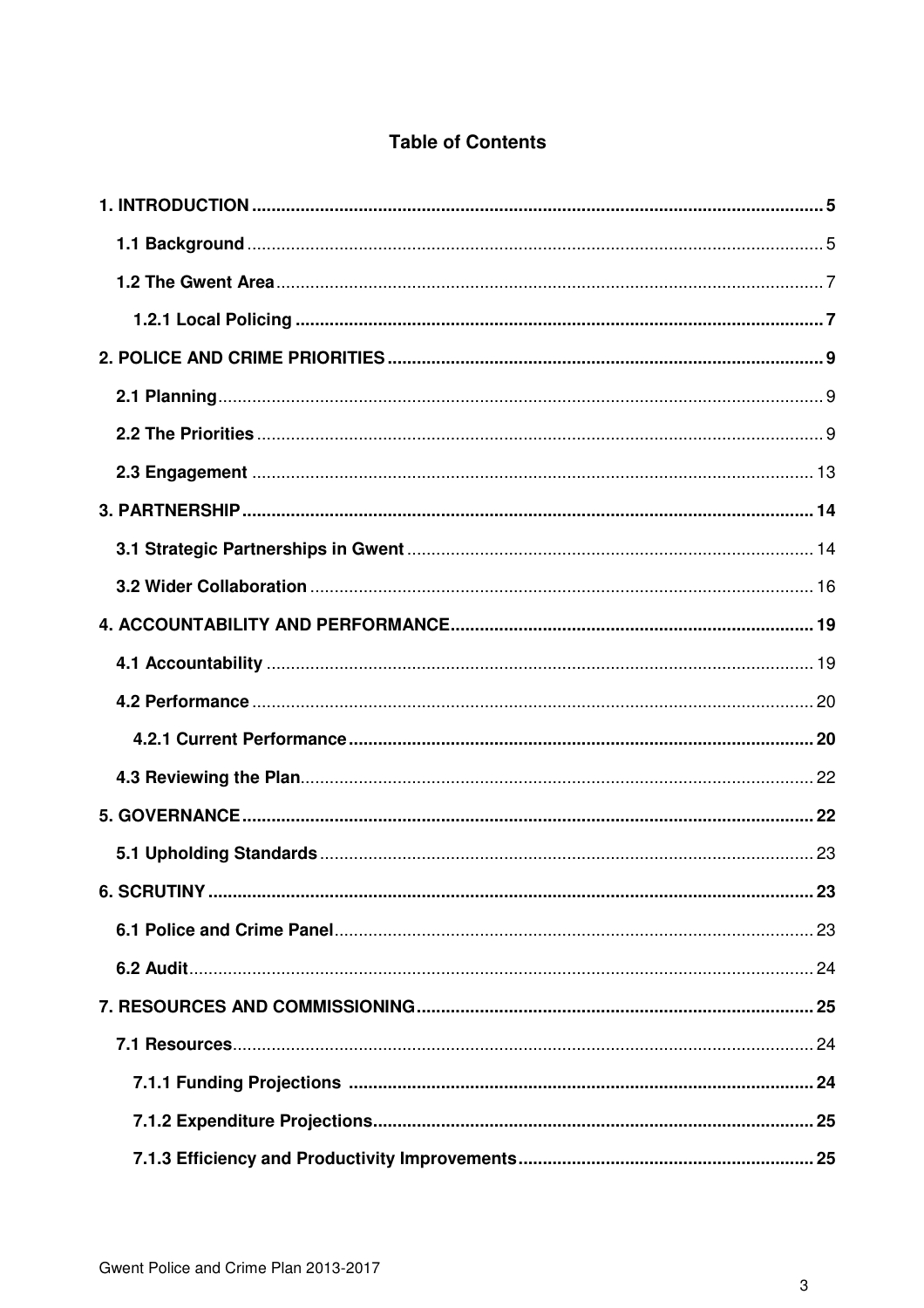## **Table of Contents**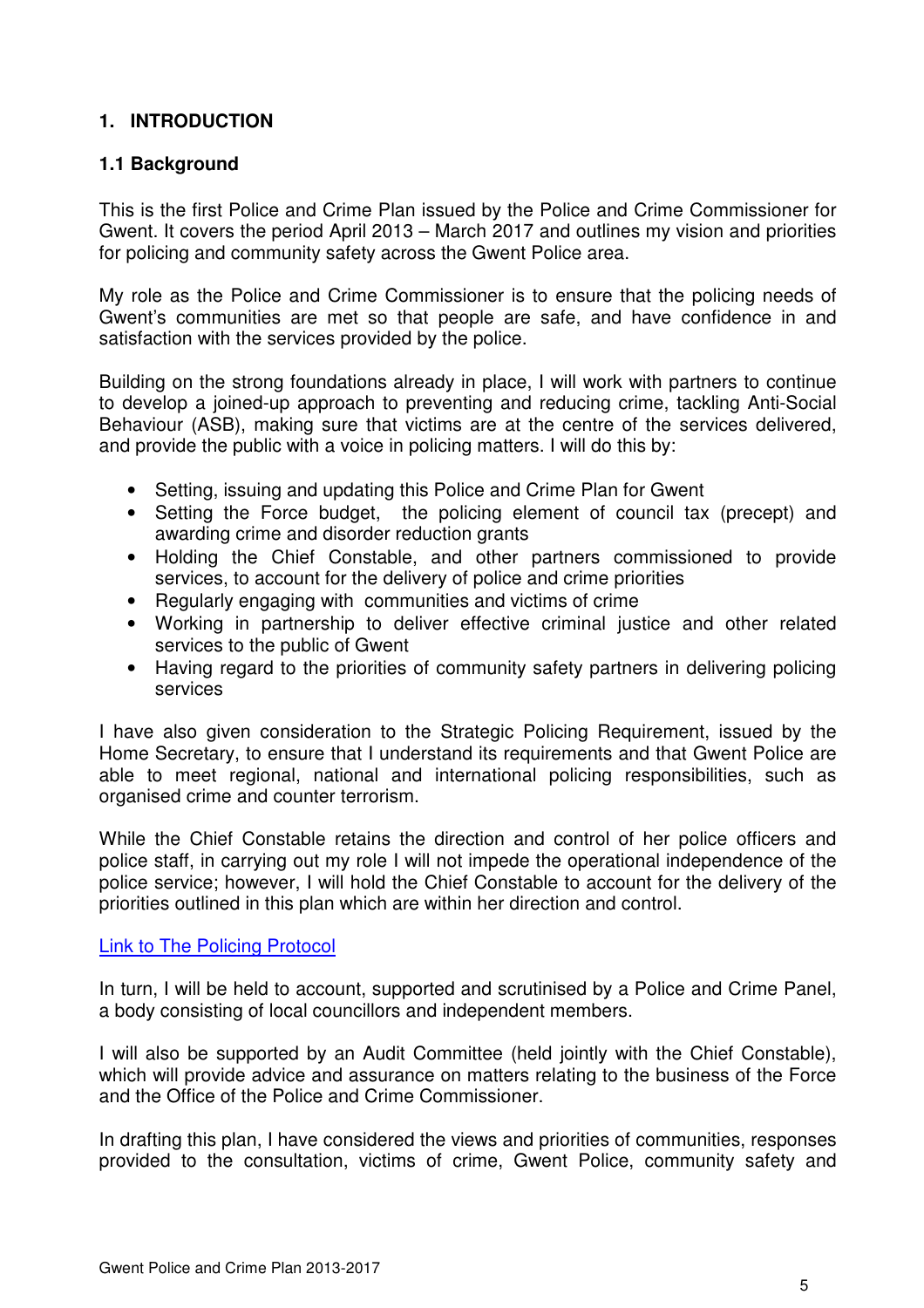## **1. INTRODUCTION**

## **1.1 Background**

This is the first Police and Crime Plan issued by the Police and Crime Commissioner for Gwent. It covers the period April 2013 – March 2017 and outlines my vision and priorities for policing and community safety across the Gwent Police area.

My role as the Police and Crime Commissioner is to ensure that the policing needs of Gwent's communities are met so that people are safe, and have confidence in and satisfaction with the services provided by the police.

Building on the strong foundations already in place, I will work with partners to continue to develop a joined-up approach to preventing and reducing crime, tackling Anti-Social Behaviour (ASB), making sure that victims are at the centre of the services delivered, and provide the public with a voice in policing matters. I will do this by:

- Setting, issuing and updating this Police and Crime Plan for Gwent
- Setting the Force budget, the policing element of council tax (precept) and awarding crime and disorder reduction grants
- Holding the Chief Constable, and other partners commissioned to provide services, to account for the delivery of police and crime priorities
- Regularly engaging with communities and victims of crime
- Working in partnership to deliver effective criminal justice and other related services to the public of Gwent
- Having regard to the priorities of community safety partners in delivering policing services

I have also given consideration to the Strategic Policing Requirement, issued by the Home Secretary, to ensure that I understand its requirements and that Gwent Police are able to meet regional, national and international policing responsibilities, such as organised crime and counter terrorism.

While the Chief Constable retains the direction and control of her police officers and police staff, in carrying out my role I will not impede the operational independence of the police service; however, I will hold the Chief Constable to account for the delivery of the priorities outlined in this plan which are within her direction and control.

#### Link to The Policing Protocol

In turn, I will be held to account, supported and scrutinised by a Police and Crime Panel, a body consisting of local councillors and independent members.

I will also be supported by an Audit Committee (held jointly with the Chief Constable), which will provide advice and assurance on matters relating to the business of the Force and the Office of the Police and Crime Commissioner.

In drafting this plan, I have considered the views and priorities of communities, responses provided to the consultation, victims of crime, Gwent Police, community safety and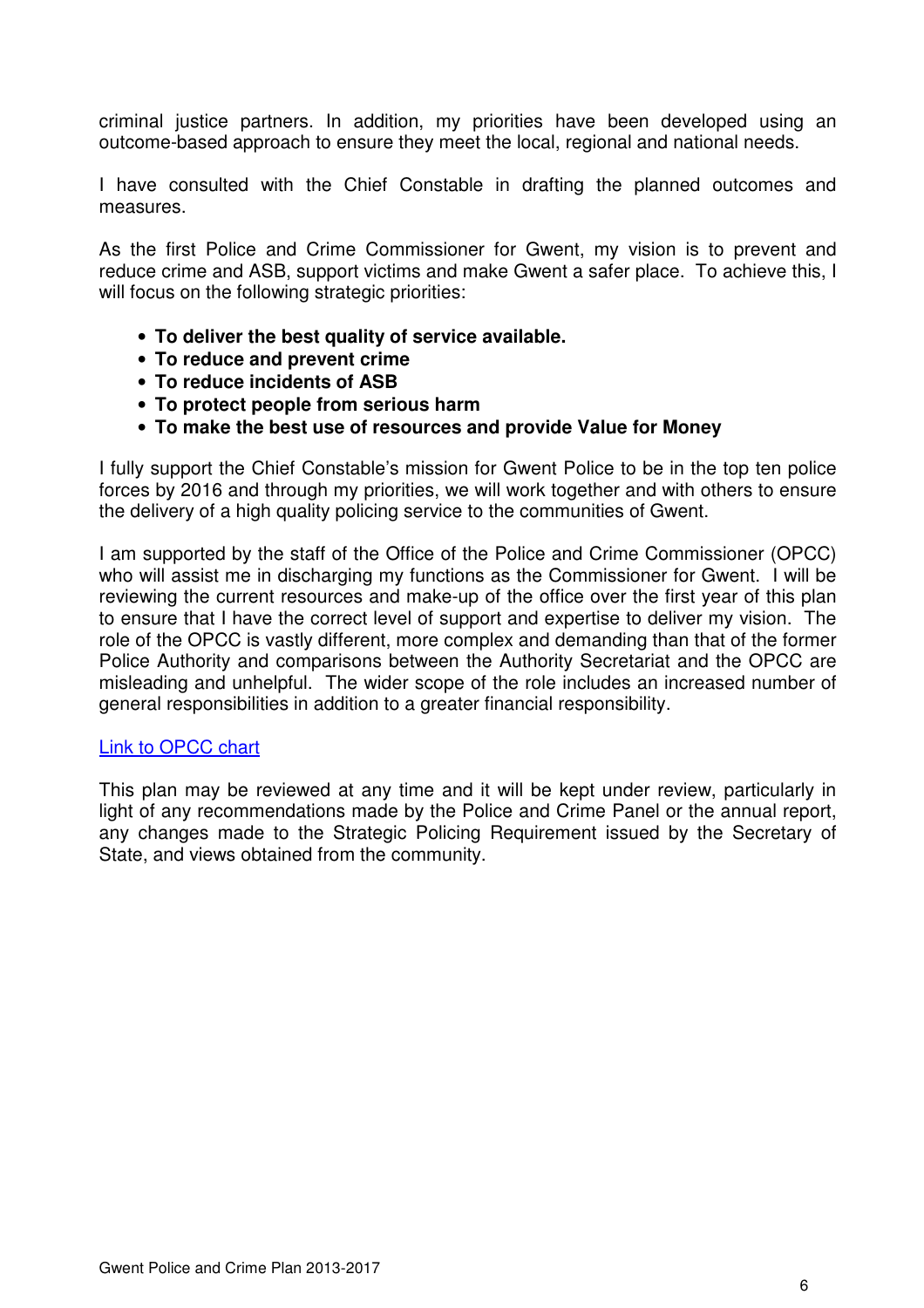criminal justice partners. In addition, my priorities have been developed using an outcome-based approach to ensure they meet the local, regional and national needs.

I have consulted with the Chief Constable in drafting the planned outcomes and measures.

As the first Police and Crime Commissioner for Gwent, my vision is to prevent and reduce crime and ASB, support victims and make Gwent a safer place. To achieve this, I will focus on the following strategic priorities:

- **To deliver the best quality of service available.**
- **To reduce and prevent crime**
- **To reduce incidents of ASB**
- **To protect people from serious harm**
- **To make the best use of resources and provide Value for Money**

I fully support the Chief Constable's mission for Gwent Police to be in the top ten police forces by 2016 and through my priorities, we will work together and with others to ensure the delivery of a high quality policing service to the communities of Gwent.

I am supported by the staff of the Office of the Police and Crime Commissioner (OPCC) who will assist me in discharging my functions as the Commissioner for Gwent.  $\dot{I}$  will be reviewing the current resources and make-up of the office over the first year of this plan to ensure that I have the correct level of support and expertise to deliver my vision. The role of the OPCC is vastly different, more complex and demanding than that of the former Police Authority and comparisons between the Authority Secretariat and the OPCC are misleading and unhelpful. The wider scope of the role includes an increased number of general responsibilities in addition to a greater financial responsibility.

#### Link to OPCC chart

This plan may be reviewed at any time and it will be kept under review, particularly in light of any recommendations made by the Police and Crime Panel or the annual report, any changes made to the Strategic Policing Requirement issued by the Secretary of State, and views obtained from the community.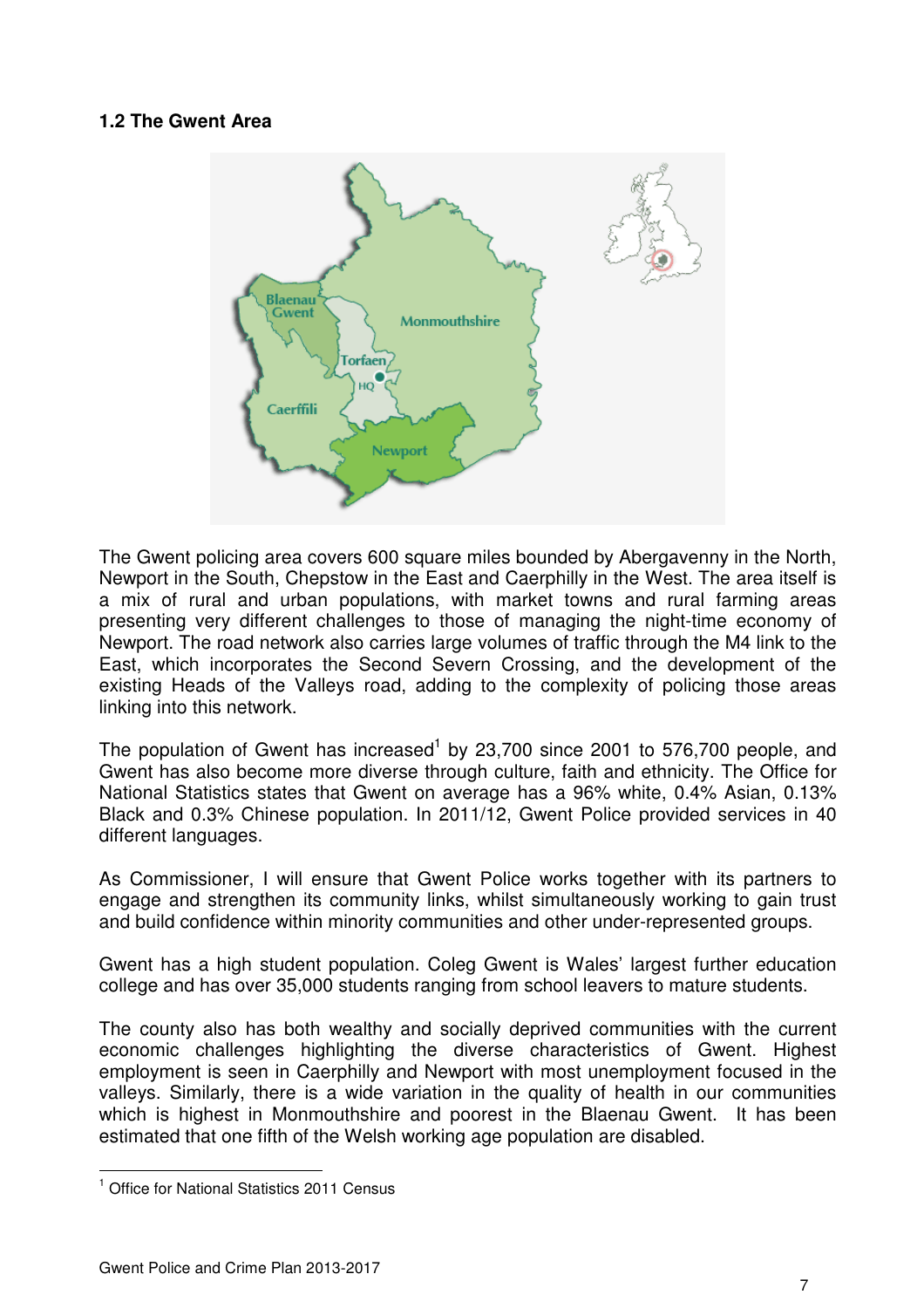#### **1.2 The Gwent Area**



The Gwent policing area covers 600 square miles bounded by Abergavenny in the North, Newport in the South, Chepstow in the East and Caerphilly in the West. The area itself is a mix of rural and urban populations, with market towns and rural farming areas presenting very different challenges to those of managing the night-time economy of Newport. The road network also carries large volumes of traffic through the M4 link to the East, which incorporates the Second Severn Crossing, and the development of the existing Heads of the Valleys road, adding to the complexity of policing those areas linking into this network.

The population of Gwent has increased<sup>1</sup> by 23,700 since 2001 to 576,700 people, and Gwent has also become more diverse through culture, faith and ethnicity. The Office for National Statistics states that Gwent on average has a 96% white, 0.4% Asian, 0.13% Black and 0.3% Chinese population. In 2011/12, Gwent Police provided services in 40 different languages.

As Commissioner, I will ensure that Gwent Police works together with its partners to engage and strengthen its community links, whilst simultaneously working to gain trust and build confidence within minority communities and other under-represented groups.

Gwent has a high student population. Coleg Gwent is Wales' largest further education college and has over 35,000 students ranging from school leavers to mature students.

The county also has both wealthy and socially deprived communities with the current economic challenges highlighting the diverse characteristics of Gwent. Highest employment is seen in Caerphilly and Newport with most unemployment focused in the valleys. Similarly, there is a wide variation in the quality of health in our communities which is highest in Monmouthshire and poorest in the Blaenau Gwent. It has been estimated that one fifth of the Welsh working age population are disabled.

 $\overline{a}$ 

<sup>&</sup>lt;sup>1</sup> Office for National Statistics 2011 Census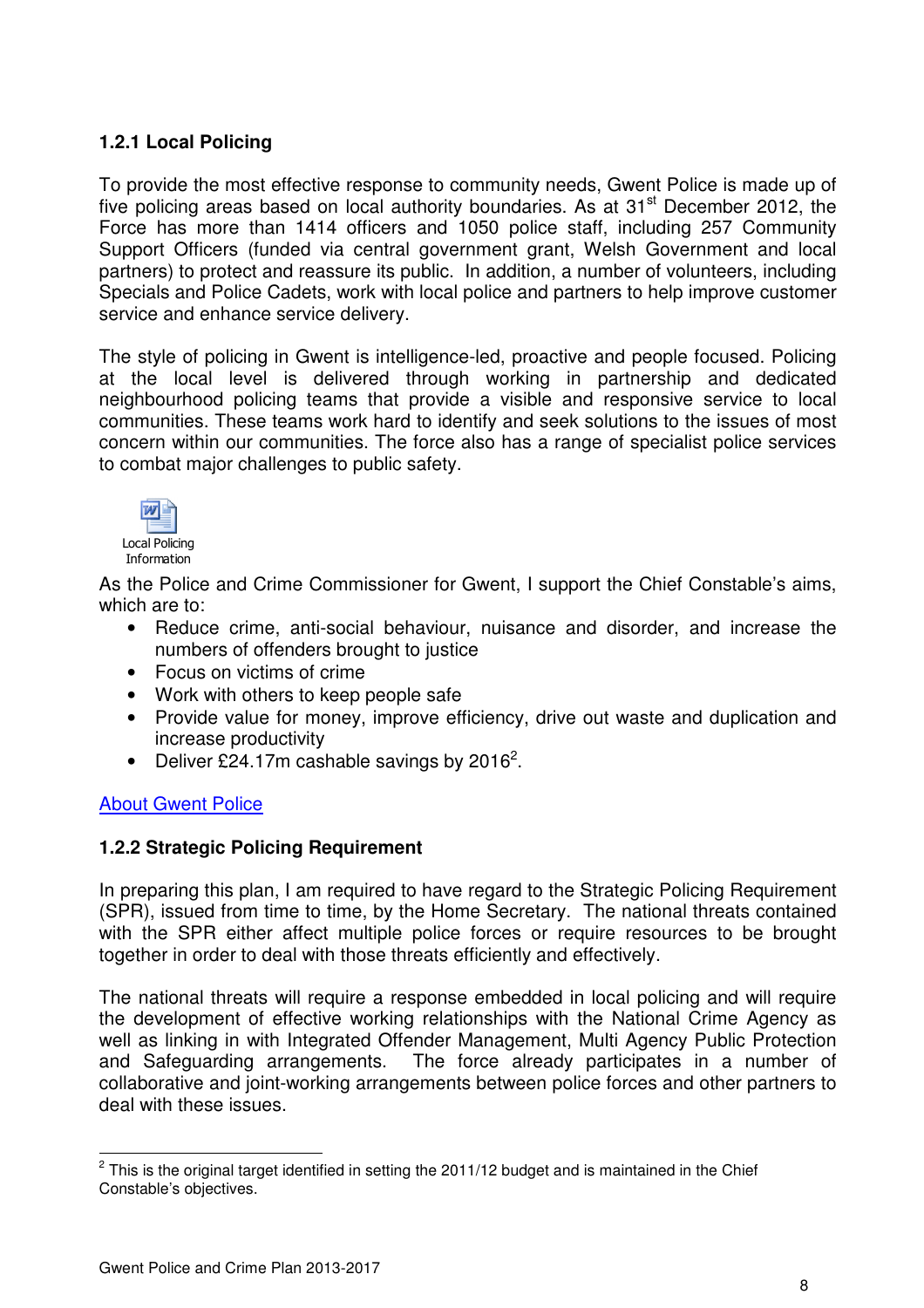## **1.2.1 Local Policing**

To provide the most effective response to community needs, Gwent Police is made up of five policing areas based on local authority boundaries. As at  $31<sup>st</sup>$  December 2012, the Force has more than 1414 officers and 1050 police staff, including 257 Community Support Officers (funded via central government grant, Welsh Government and local partners) to protect and reassure its public. In addition, a number of volunteers, including Specials and Police Cadets, work with local police and partners to help improve customer service and enhance service delivery.

The style of policing in Gwent is intelligence-led, proactive and people focused. Policing at the local level is delivered through working in partnership and dedicated neighbourhood policing teams that provide a visible and responsive service to local communities. These teams work hard to identify and seek solutions to the issues of most concern within our communities. The force also has a range of specialist police services to combat major challenges to public safety.



As the Police and Crime Commissioner for Gwent, I support the Chief Constable's aims, which are to:

- Reduce crime, anti-social behaviour, nuisance and disorder, and increase the numbers of offenders brought to justice
- Focus on victims of crime
- Work with others to keep people safe
- Provide value for money, improve efficiency, drive out waste and duplication and increase productivity
- Deliver £24.17m cashable savings by 2016<sup>2</sup>.

#### About Gwent Police

 $\overline{a}$ 

#### **1.2.2 Strategic Policing Requirement**

In preparing this plan, I am required to have regard to the Strategic Policing Requirement (SPR), issued from time to time, by the Home Secretary. The national threats contained with the SPR either affect multiple police forces or require resources to be brought together in order to deal with those threats efficiently and effectively.

The national threats will require a response embedded in local policing and will require the development of effective working relationships with the National Crime Agency as well as linking in with Integrated Offender Management, Multi Agency Public Protection and Safeguarding arrangements. The force already participates in a number of collaborative and joint-working arrangements between police forces and other partners to deal with these issues.

 $2$  This is the original target identified in setting the 2011/12 budget and is maintained in the Chief Constable's objectives.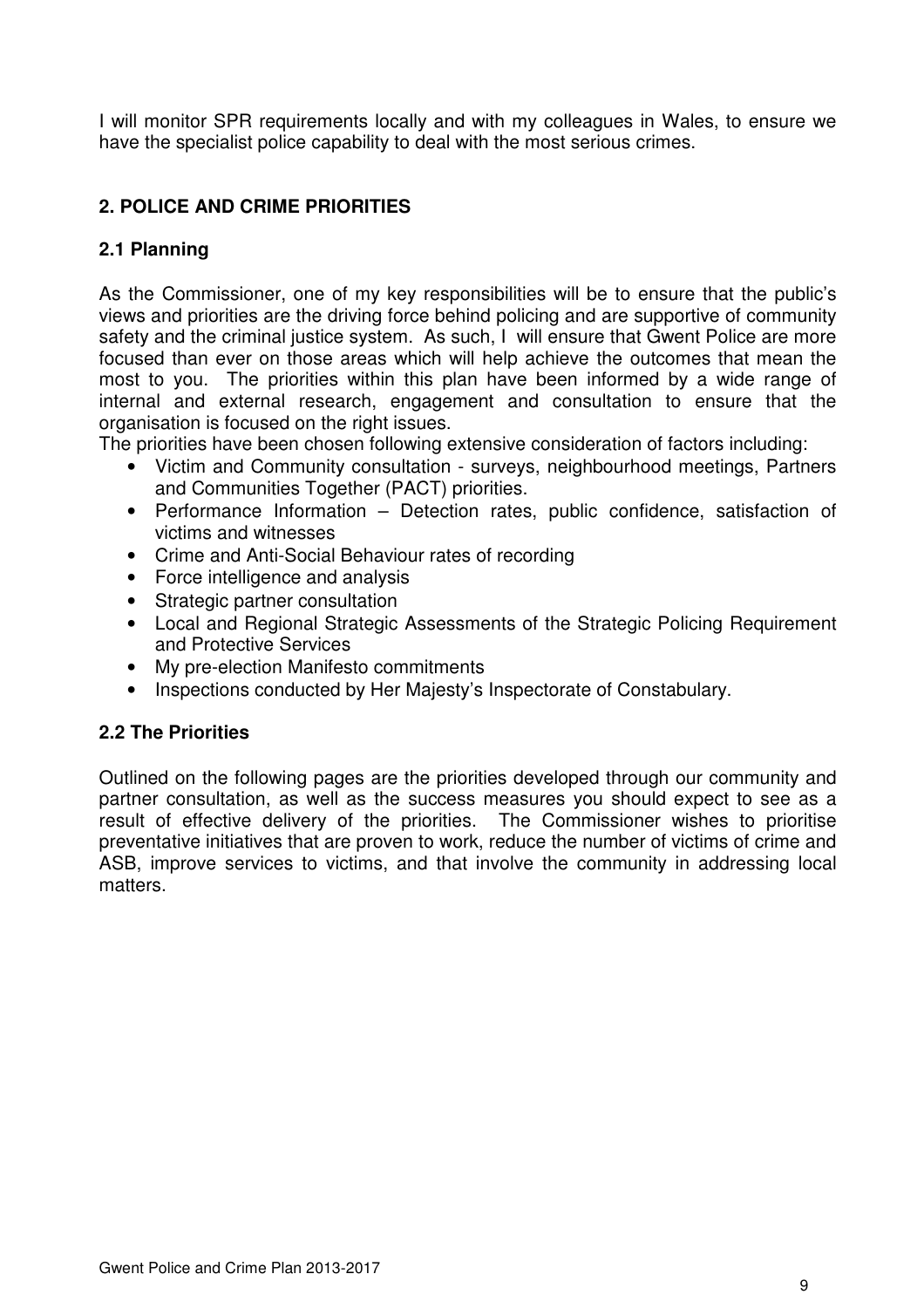I will monitor SPR requirements locally and with my colleagues in Wales, to ensure we have the specialist police capability to deal with the most serious crimes.

## **2. POLICE AND CRIME PRIORITIES**

## **2.1 Planning**

As the Commissioner, one of my key responsibilities will be to ensure that the public's views and priorities are the driving force behind policing and are supportive of community safety and the criminal justice system. As such, I will ensure that Gwent Police are more focused than ever on those areas which will help achieve the outcomes that mean the most to you. The priorities within this plan have been informed by a wide range of internal and external research, engagement and consultation to ensure that the organisation is focused on the right issues.

The priorities have been chosen following extensive consideration of factors including:

- Victim and Community consultation surveys, neighbourhood meetings, Partners and Communities Together (PACT) priorities.
- Performance Information Detection rates, public confidence, satisfaction of victims and witnesses
- Crime and Anti-Social Behaviour rates of recording
- Force intelligence and analysis
- Strategic partner consultation
- Local and Regional Strategic Assessments of the Strategic Policing Requirement and Protective Services
- My pre-election Manifesto commitments
- Inspections conducted by Her Majesty's Inspectorate of Constabulary.

## **2.2 The Priorities**

Outlined on the following pages are the priorities developed through our community and partner consultation, as well as the success measures you should expect to see as a result of effective delivery of the priorities. The Commissioner wishes to prioritise preventative initiatives that are proven to work, reduce the number of victims of crime and ASB, improve services to victims, and that involve the community in addressing local matters.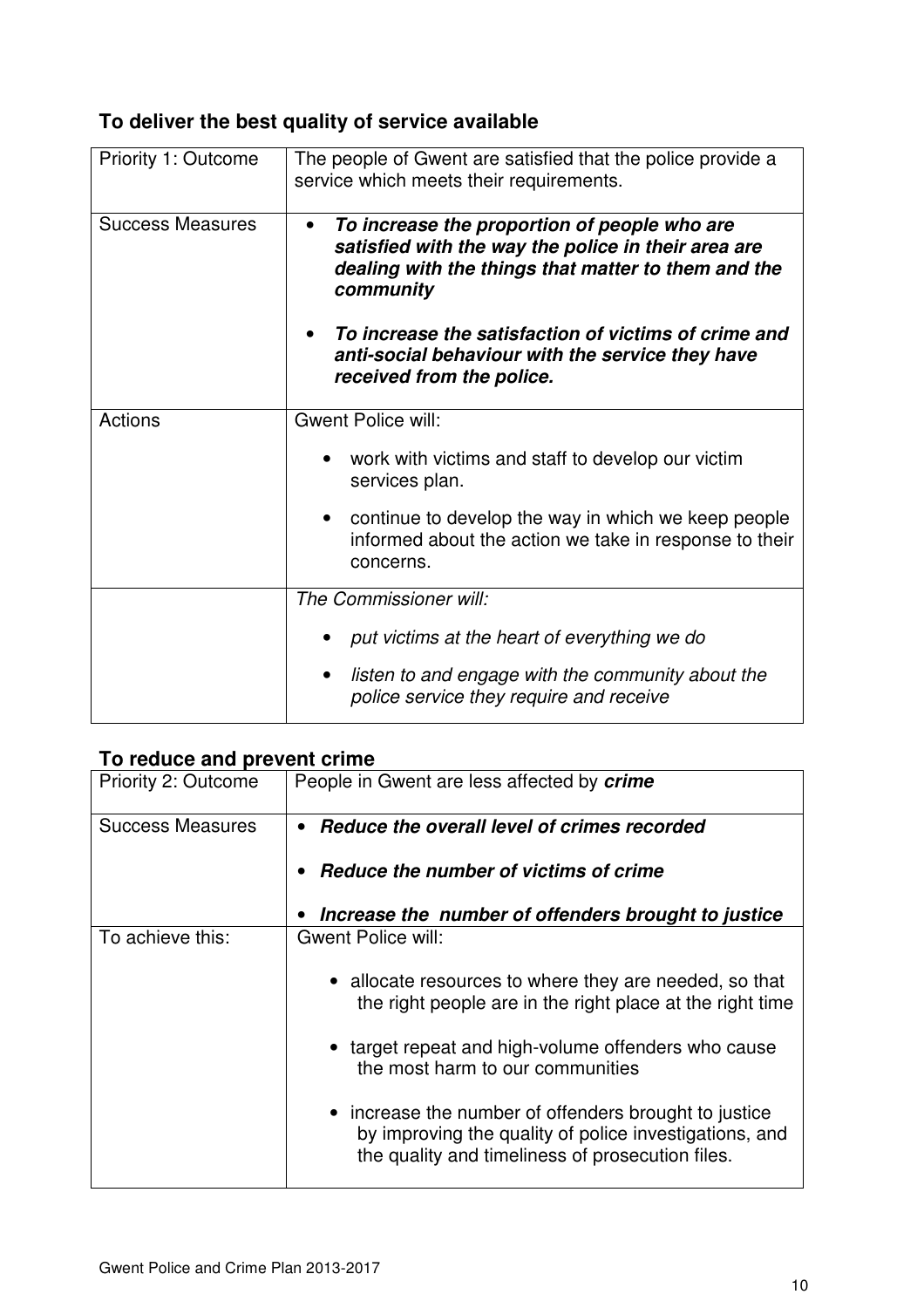## **To deliver the best quality of service available**

| Priority 1: Outcome     | The people of Gwent are satisfied that the police provide a<br>service which meets their requirements.                                                                               |  |  |  |  |  |
|-------------------------|--------------------------------------------------------------------------------------------------------------------------------------------------------------------------------------|--|--|--|--|--|
| <b>Success Measures</b> | To increase the proportion of people who are<br>$\bullet$<br>satisfied with the way the police in their area are<br>dealing with the things that matter to them and the<br>community |  |  |  |  |  |
|                         | To increase the satisfaction of victims of crime and<br>anti-social behaviour with the service they have<br>received from the police.                                                |  |  |  |  |  |
| Actions                 | <b>Gwent Police will:</b>                                                                                                                                                            |  |  |  |  |  |
|                         | work with victims and staff to develop our victim<br>services plan.                                                                                                                  |  |  |  |  |  |
|                         | continue to develop the way in which we keep people<br>$\bullet$<br>informed about the action we take in response to their<br>concerns.                                              |  |  |  |  |  |
|                         | The Commissioner will:                                                                                                                                                               |  |  |  |  |  |
|                         | put victims at the heart of everything we do                                                                                                                                         |  |  |  |  |  |
|                         | listen to and engage with the community about the<br>police service they require and receive                                                                                         |  |  |  |  |  |

## **To reduce and prevent crime**

| Priority 2: Outcome     | People in Gwent are less affected by crime                                                                                                                          |  |  |  |  |  |
|-------------------------|---------------------------------------------------------------------------------------------------------------------------------------------------------------------|--|--|--|--|--|
| <b>Success Measures</b> | Reduce the overall level of crimes recorded                                                                                                                         |  |  |  |  |  |
|                         | Reduce the number of victims of crime                                                                                                                               |  |  |  |  |  |
|                         | Increase the number of offenders brought to justice                                                                                                                 |  |  |  |  |  |
| To achieve this:        | <b>Gwent Police will:</b>                                                                                                                                           |  |  |  |  |  |
|                         | • allocate resources to where they are needed, so that<br>the right people are in the right place at the right time                                                 |  |  |  |  |  |
|                         | • target repeat and high-volume offenders who cause<br>the most harm to our communities                                                                             |  |  |  |  |  |
|                         | • increase the number of offenders brought to justice<br>by improving the quality of police investigations, and<br>the quality and timeliness of prosecution files. |  |  |  |  |  |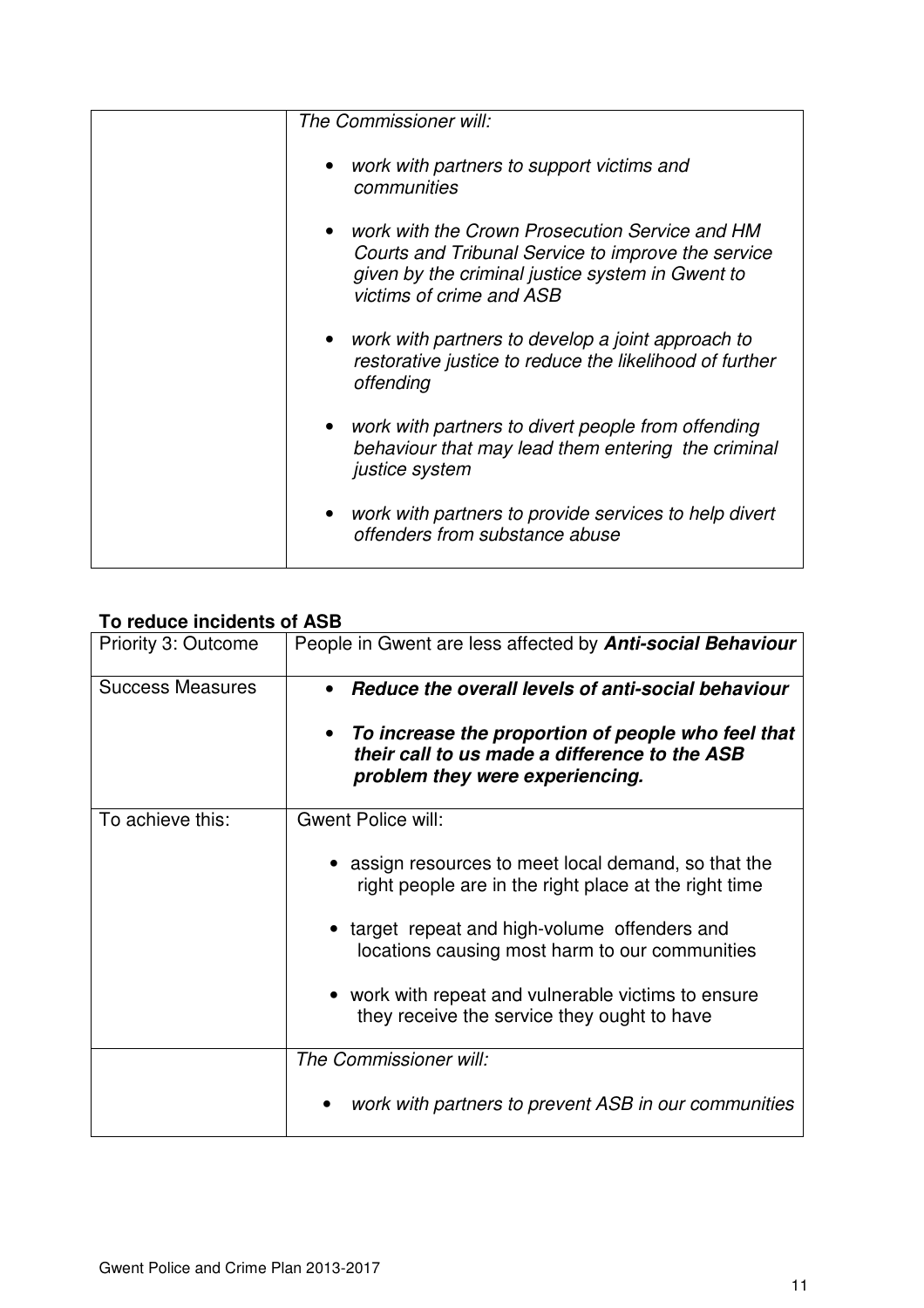| The Commissioner will:                                                                                                                                                                 |
|----------------------------------------------------------------------------------------------------------------------------------------------------------------------------------------|
| • work with partners to support victims and<br>communities                                                                                                                             |
| • work with the Crown Prosecution Service and HM<br>Courts and Tribunal Service to improve the service<br>given by the criminal justice system in Gwent to<br>victims of crime and ASB |
| • work with partners to develop a joint approach to<br>restorative justice to reduce the likelihood of further<br>offending                                                            |
| • work with partners to divert people from offending<br>behaviour that may lead them entering the criminal<br>justice system                                                           |
| work with partners to provide services to help divert<br>offenders from substance abuse                                                                                                |

## **To reduce incidents of ASB**

| Priority 3: Outcome     | People in Gwent are less affected by <b>Anti-social Behaviour</b>                                                                      |  |  |  |  |  |
|-------------------------|----------------------------------------------------------------------------------------------------------------------------------------|--|--|--|--|--|
| <b>Success Measures</b> | Reduce the overall levels of anti-social behaviour                                                                                     |  |  |  |  |  |
|                         | To increase the proportion of people who feel that<br>their call to us made a difference to the ASB<br>problem they were experiencing. |  |  |  |  |  |
| To achieve this:        | <b>Gwent Police will:</b>                                                                                                              |  |  |  |  |  |
|                         | • assign resources to meet local demand, so that the<br>right people are in the right place at the right time                          |  |  |  |  |  |
|                         | • target repeat and high-volume offenders and<br>locations causing most harm to our communities                                        |  |  |  |  |  |
|                         | • work with repeat and vulnerable victims to ensure<br>they receive the service they ought to have                                     |  |  |  |  |  |
|                         | The Commissioner will:                                                                                                                 |  |  |  |  |  |
|                         | work with partners to prevent ASB in our communities                                                                                   |  |  |  |  |  |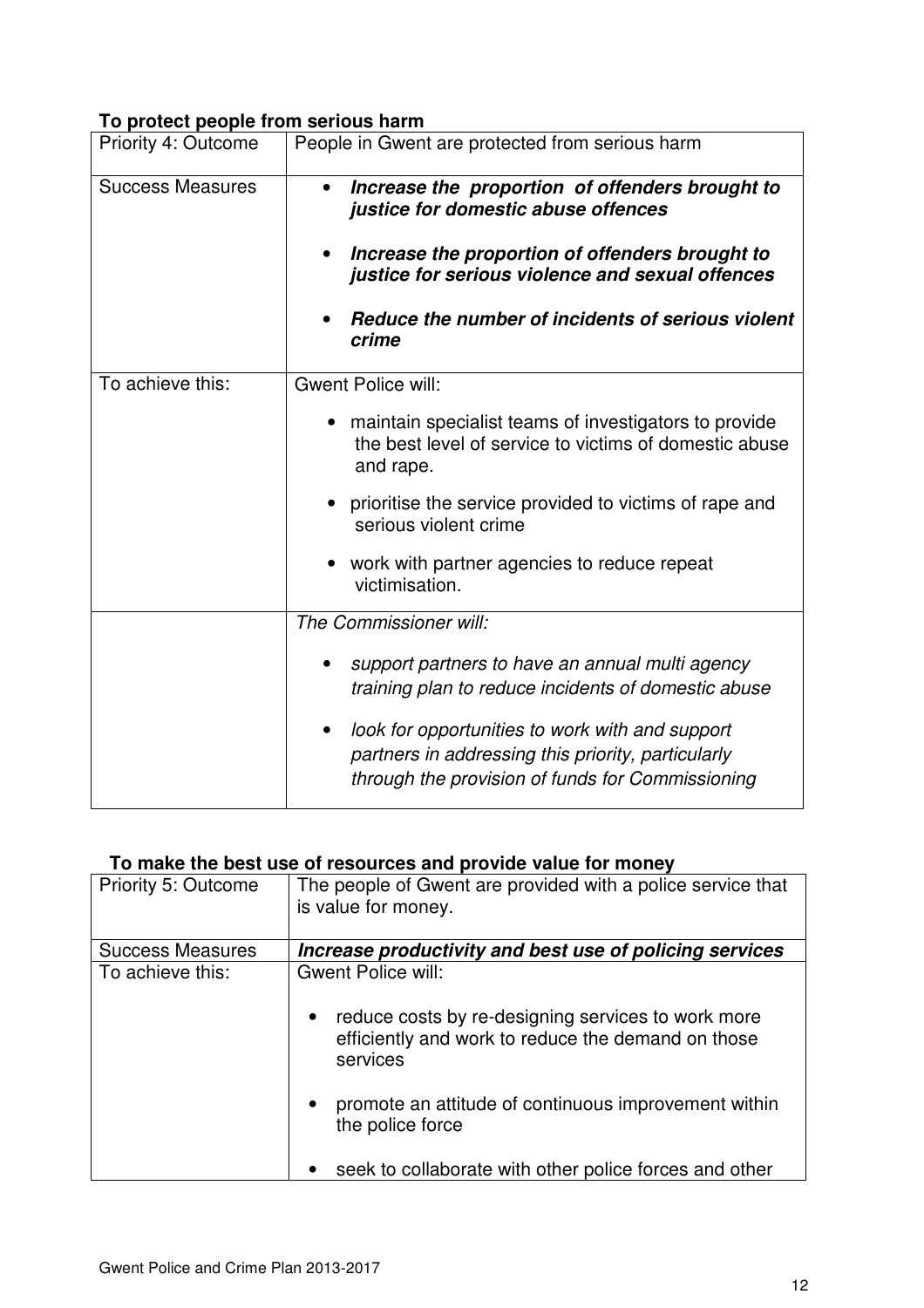## **To protect people from serious harm**

| Priority 4: Outcome     | People in Gwent are protected from serious harm                                                                                                                                                                                                                                                               |  |  |  |  |
|-------------------------|---------------------------------------------------------------------------------------------------------------------------------------------------------------------------------------------------------------------------------------------------------------------------------------------------------------|--|--|--|--|
| <b>Success Measures</b> | Increase the proportion of offenders brought to<br>justice for domestic abuse offences<br>Increase the proportion of offenders brought to<br>justice for serious violence and sexual offences<br>Reduce the number of incidents of serious violent<br>crime                                                   |  |  |  |  |
| To achieve this:        | <b>Gwent Police will:</b><br>maintain specialist teams of investigators to provide<br>the best level of service to victims of domestic abuse<br>and rape.<br>prioritise the service provided to victims of rape and<br>serious violent crime<br>work with partner agencies to reduce repeat<br>victimisation. |  |  |  |  |
|                         | The Commissioner will:<br>support partners to have an annual multi agency<br>training plan to reduce incidents of domestic abuse<br>look for opportunities to work with and support<br>partners in addressing this priority, particularly<br>through the provision of funds for Commissioning                 |  |  |  |  |

## **To make the best use of resources and provide value for money**

| Priority 5: Outcome     | The people of Gwent are provided with a police service that<br>is value for money.                                                |
|-------------------------|-----------------------------------------------------------------------------------------------------------------------------------|
| <b>Success Measures</b> | Increase productivity and best use of policing services                                                                           |
| To achieve this:        | <b>Gwent Police will:</b>                                                                                                         |
|                         | reduce costs by re-designing services to work more<br>$\bullet$<br>efficiently and work to reduce the demand on those<br>services |
|                         | promote an attitude of continuous improvement within<br>$\bullet$<br>the police force                                             |
|                         | seek to collaborate with other police forces and other                                                                            |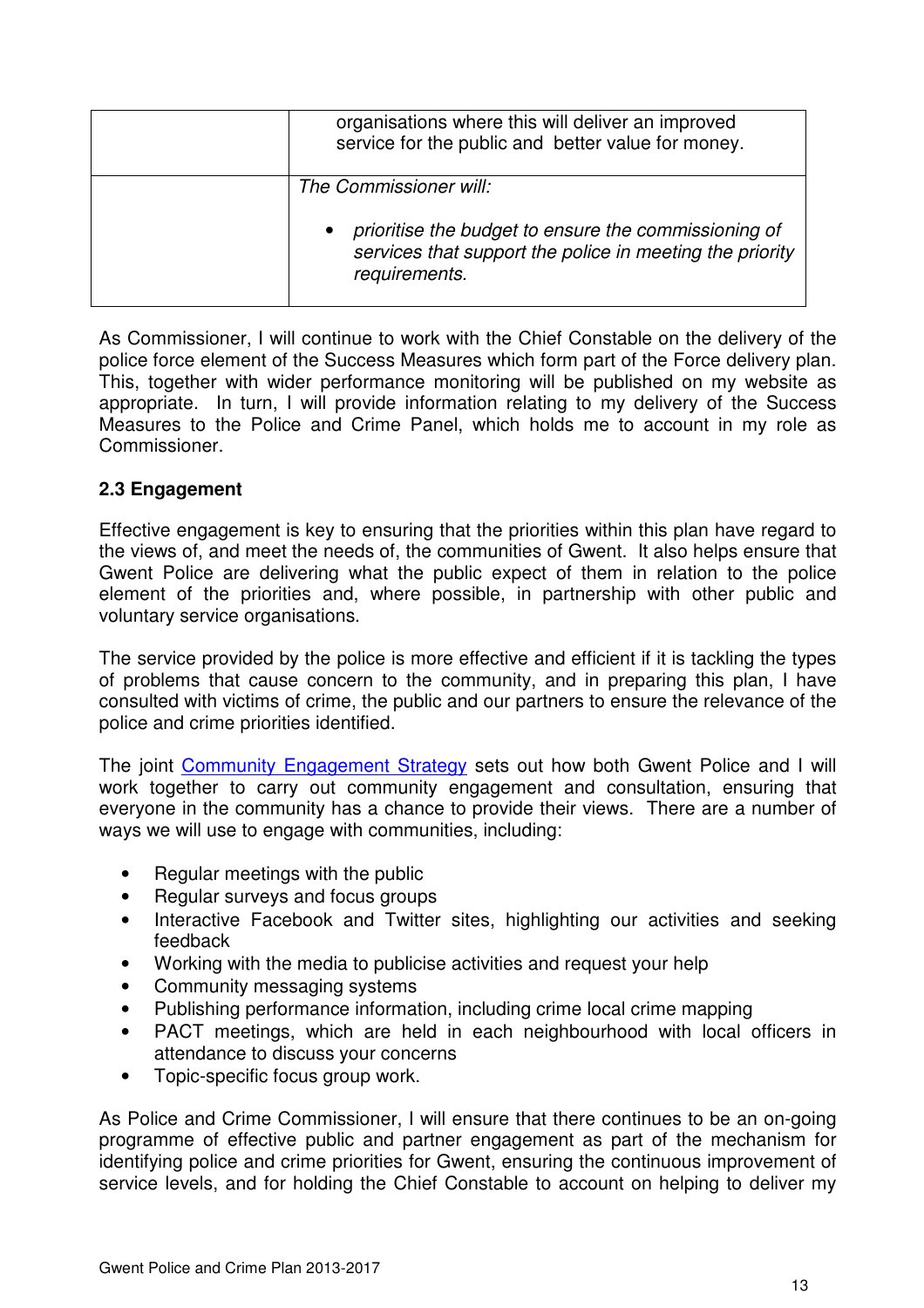| organisations where this will deliver an improved<br>service for the public and better value for money.                                                     |
|-------------------------------------------------------------------------------------------------------------------------------------------------------------|
| The Commissioner will:<br>prioritise the budget to ensure the commissioning of<br>services that support the police in meeting the priority<br>requirements. |

As Commissioner, I will continue to work with the Chief Constable on the delivery of the police force element of the Success Measures which form part of the Force delivery plan. This, together with wider performance monitoring will be published on my website as appropriate. In turn, I will provide information relating to my delivery of the Success Measures to the Police and Crime Panel, which holds me to account in my role as Commissioner.

#### **2.3 Engagement**

Effective engagement is key to ensuring that the priorities within this plan have regard to the views of, and meet the needs of, the communities of Gwent. It also helps ensure that Gwent Police are delivering what the public expect of them in relation to the police element of the priorities and, where possible, in partnership with other public and voluntary service organisations.

The service provided by the police is more effective and efficient if it is tackling the types of problems that cause concern to the community, and in preparing this plan, I have consulted with victims of crime, the public and our partners to ensure the relevance of the police and crime priorities identified.

The joint Community Engagement Strategy sets out how both Gwent Police and I will work together to carry out community engagement and consultation, ensuring that everyone in the community has a chance to provide their views. There are a number of ways we will use to engage with communities, including:

- Regular meetings with the public
- Regular surveys and focus groups
- Interactive Facebook and Twitter sites, highlighting our activities and seeking feedback
- Working with the media to publicise activities and request your help
- Community messaging systems
- Publishing performance information, including crime local crime mapping
- PACT meetings, which are held in each neighbourhood with local officers in attendance to discuss your concerns
- Topic-specific focus group work.

As Police and Crime Commissioner, I will ensure that there continues to be an on-going programme of effective public and partner engagement as part of the mechanism for identifying police and crime priorities for Gwent, ensuring the continuous improvement of service levels, and for holding the Chief Constable to account on helping to deliver my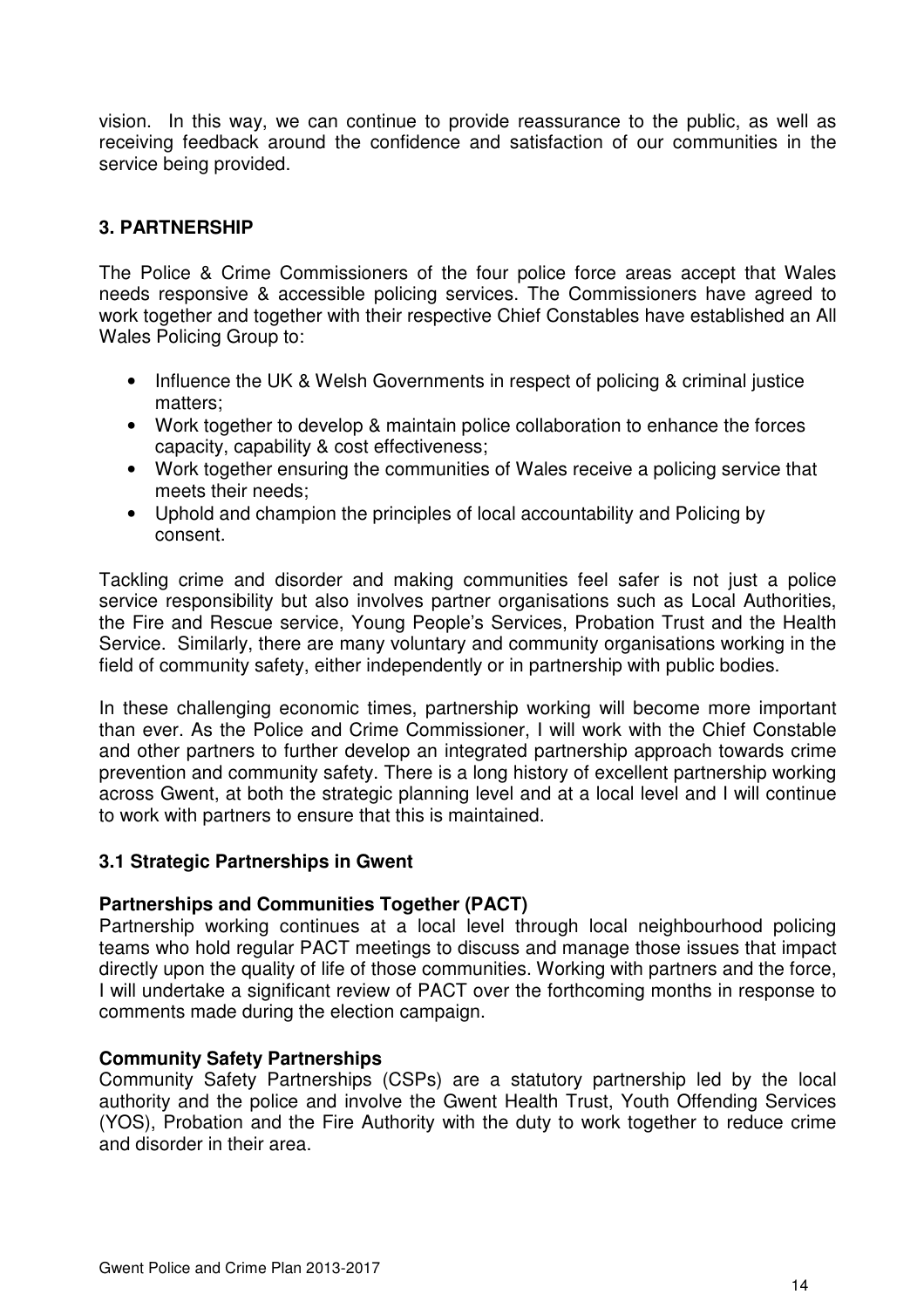vision. In this way, we can continue to provide reassurance to the public, as well as receiving feedback around the confidence and satisfaction of our communities in the service being provided.

## **3. PARTNERSHIP**

The Police & Crime Commissioners of the four police force areas accept that Wales needs responsive & accessible policing services. The Commissioners have agreed to work together and together with their respective Chief Constables have established an All Wales Policing Group to:

- Influence the UK & Welsh Governments in respect of policing & criminal justice matters;
- Work together to develop & maintain police collaboration to enhance the forces capacity, capability & cost effectiveness;
- Work together ensuring the communities of Wales receive a policing service that meets their needs;
- Uphold and champion the principles of local accountability and Policing by consent.

Tackling crime and disorder and making communities feel safer is not just a police service responsibility but also involves partner organisations such as Local Authorities, the Fire and Rescue service, Young People's Services, Probation Trust and the Health Service. Similarly, there are many voluntary and community organisations working in the field of community safety, either independently or in partnership with public bodies.

In these challenging economic times, partnership working will become more important than ever. As the Police and Crime Commissioner, I will work with the Chief Constable and other partners to further develop an integrated partnership approach towards crime prevention and community safety. There is a long history of excellent partnership working across Gwent, at both the strategic planning level and at a local level and I will continue to work with partners to ensure that this is maintained.

#### **3.1 Strategic Partnerships in Gwent**

#### **Partnerships and Communities Together (PACT)**

Partnership working continues at a local level through local neighbourhood policing teams who hold regular PACT meetings to discuss and manage those issues that impact directly upon the quality of life of those communities. Working with partners and the force, I will undertake a significant review of PACT over the forthcoming months in response to comments made during the election campaign.

#### **Community Safety Partnerships**

Community Safety Partnerships (CSPs) are a statutory partnership led by the local authority and the police and involve the Gwent Health Trust, Youth Offending Services (YOS), Probation and the Fire Authority with the duty to work together to reduce crime and disorder in their area.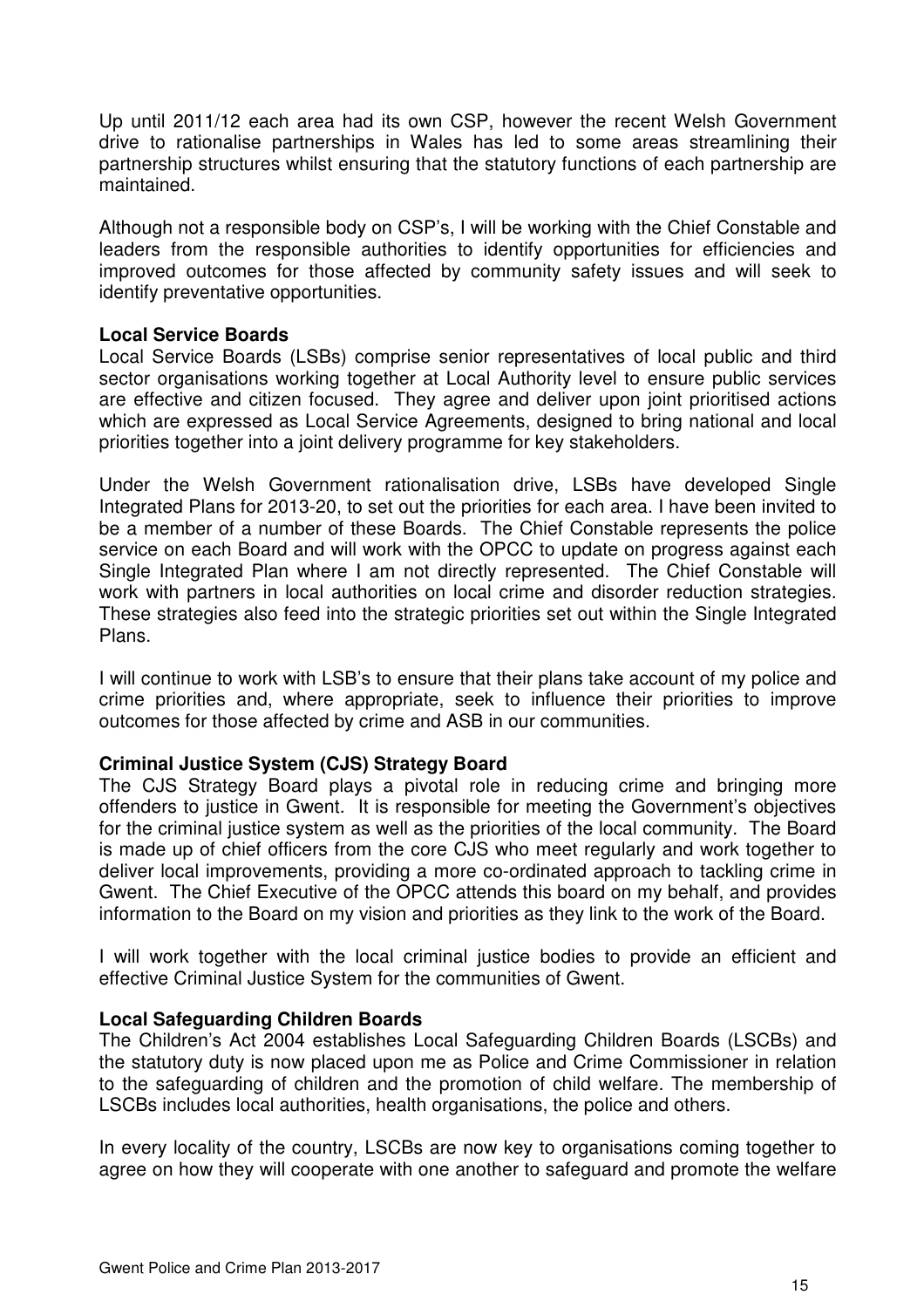Up until 2011/12 each area had its own CSP, however the recent Welsh Government drive to rationalise partnerships in Wales has led to some areas streamlining their partnership structures whilst ensuring that the statutory functions of each partnership are maintained.

Although not a responsible body on CSP's, I will be working with the Chief Constable and leaders from the responsible authorities to identify opportunities for efficiencies and improved outcomes for those affected by community safety issues and will seek to identify preventative opportunities.

#### **Local Service Boards**

Local Service Boards (LSBs) comprise senior representatives of local public and third sector organisations working together at Local Authority level to ensure public services are effective and citizen focused. They agree and deliver upon joint prioritised actions which are expressed as Local Service Agreements, designed to bring national and local priorities together into a joint delivery programme for key stakeholders.

Under the Welsh Government rationalisation drive, LSBs have developed Single Integrated Plans for 2013-20, to set out the priorities for each area. I have been invited to be a member of a number of these Boards. The Chief Constable represents the police service on each Board and will work with the OPCC to update on progress against each Single Integrated Plan where I am not directly represented. The Chief Constable will work with partners in local authorities on local crime and disorder reduction strategies. These strategies also feed into the strategic priorities set out within the Single Integrated Plans.

I will continue to work with LSB's to ensure that their plans take account of my police and crime priorities and, where appropriate, seek to influence their priorities to improve outcomes for those affected by crime and ASB in our communities.

#### **Criminal Justice System (CJS) Strategy Board**

The CJS Strategy Board plays a pivotal role in reducing crime and bringing more offenders to justice in Gwent. It is responsible for meeting the Government's objectives for the criminal justice system as well as the priorities of the local community. The Board is made up of chief officers from the core CJS who meet regularly and work together to deliver local improvements, providing a more co-ordinated approach to tackling crime in Gwent. The Chief Executive of the OPCC attends this board on my behalf, and provides information to the Board on my vision and priorities as they link to the work of the Board.

I will work together with the local criminal justice bodies to provide an efficient and effective Criminal Justice System for the communities of Gwent.

#### **Local Safeguarding Children Boards**

The Children's Act 2004 establishes Local Safeguarding Children Boards (LSCBs) and the statutory duty is now placed upon me as Police and Crime Commissioner in relation to the safeguarding of children and the promotion of child welfare. The membership of LSCBs includes local authorities, health organisations, the police and others.

In every locality of the country, LSCBs are now key to organisations coming together to agree on how they will cooperate with one another to safeguard and promote the welfare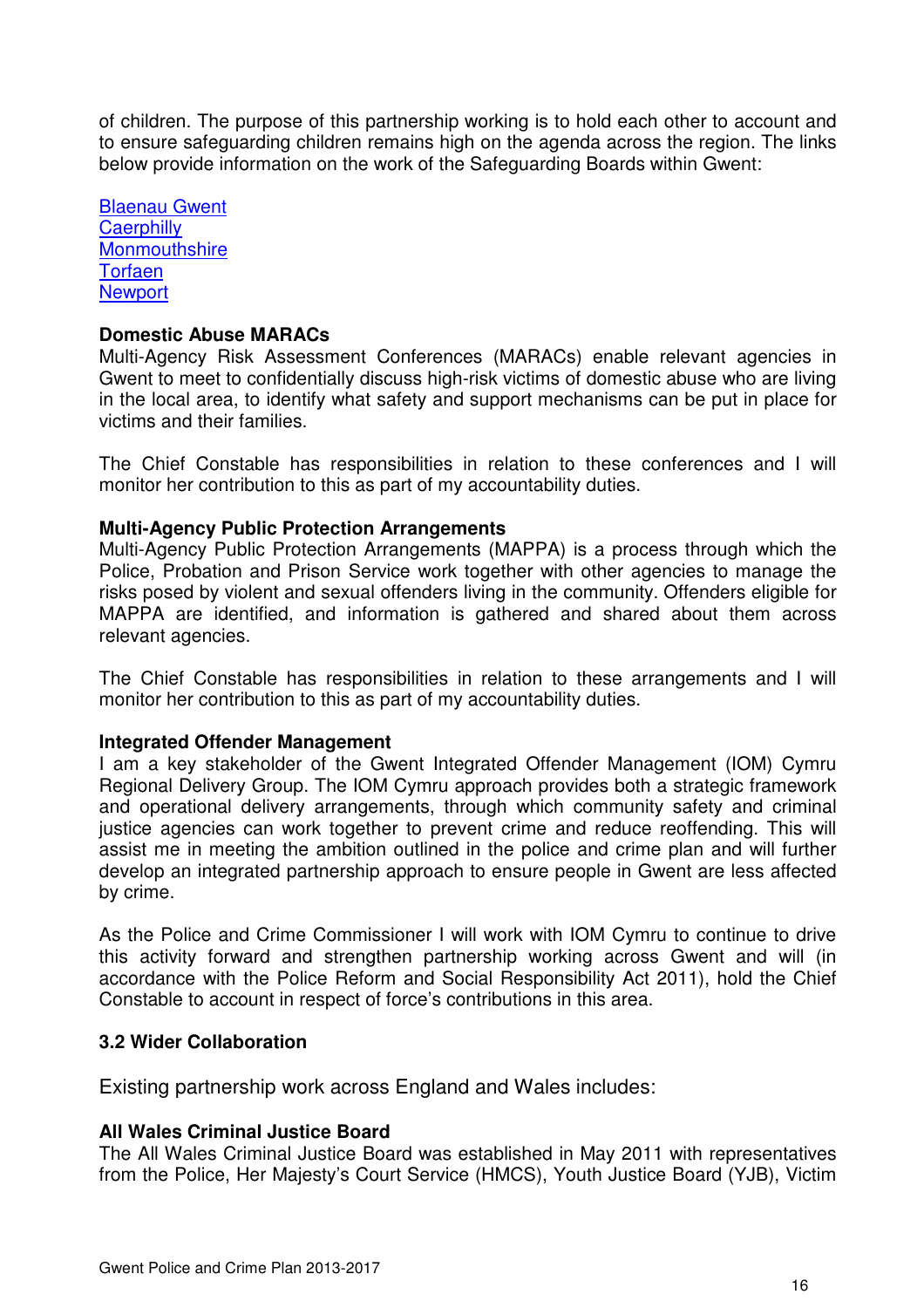of children. The purpose of this partnership working is to hold each other to account and to ensure safeguarding children remains high on the agenda across the region. The links below provide information on the work of the Safeguarding Boards within Gwent:

Blaenau Gwent **Caerphilly Monmouthshire Torfaen Newport** 

#### **Domestic Abuse MARACs**

Multi-Agency Risk Assessment Conferences (MARACs) enable relevant agencies in Gwent to meet to confidentially discuss high-risk victims of domestic abuse who are living in the local area, to identify what safety and support mechanisms can be put in place for victims and their families.

The Chief Constable has responsibilities in relation to these conferences and I will monitor her contribution to this as part of my accountability duties.

#### **Multi-Agency Public Protection Arrangements**

Multi-Agency Public Protection Arrangements (MAPPA) is a process through which the Police, Probation and Prison Service work together with other agencies to manage the risks posed by violent and sexual offenders living in the community. Offenders eligible for MAPPA are identified, and information is gathered and shared about them across relevant agencies.

The Chief Constable has responsibilities in relation to these arrangements and I will monitor her contribution to this as part of my accountability duties.

#### **Integrated Offender Management**

I am a key stakeholder of the Gwent Integrated Offender Management (IOM) Cymru Regional Delivery Group. The IOM Cymru approach provides both a strategic framework and operational delivery arrangements, through which community safety and criminal justice agencies can work together to prevent crime and reduce reoffending. This will assist me in meeting the ambition outlined in the police and crime plan and will further develop an integrated partnership approach to ensure people in Gwent are less affected by crime.

As the Police and Crime Commissioner I will work with IOM Cymru to continue to drive this activity forward and strengthen partnership working across Gwent and will (in accordance with the Police Reform and Social Responsibility Act 2011), hold the Chief Constable to account in respect of force's contributions in this area.

#### **3.2 Wider Collaboration**

Existing partnership work across England and Wales includes:

#### **All Wales Criminal Justice Board**

The All Wales Criminal Justice Board was established in May 2011 with representatives from the Police, Her Majesty's Court Service (HMCS), Youth Justice Board (YJB), Victim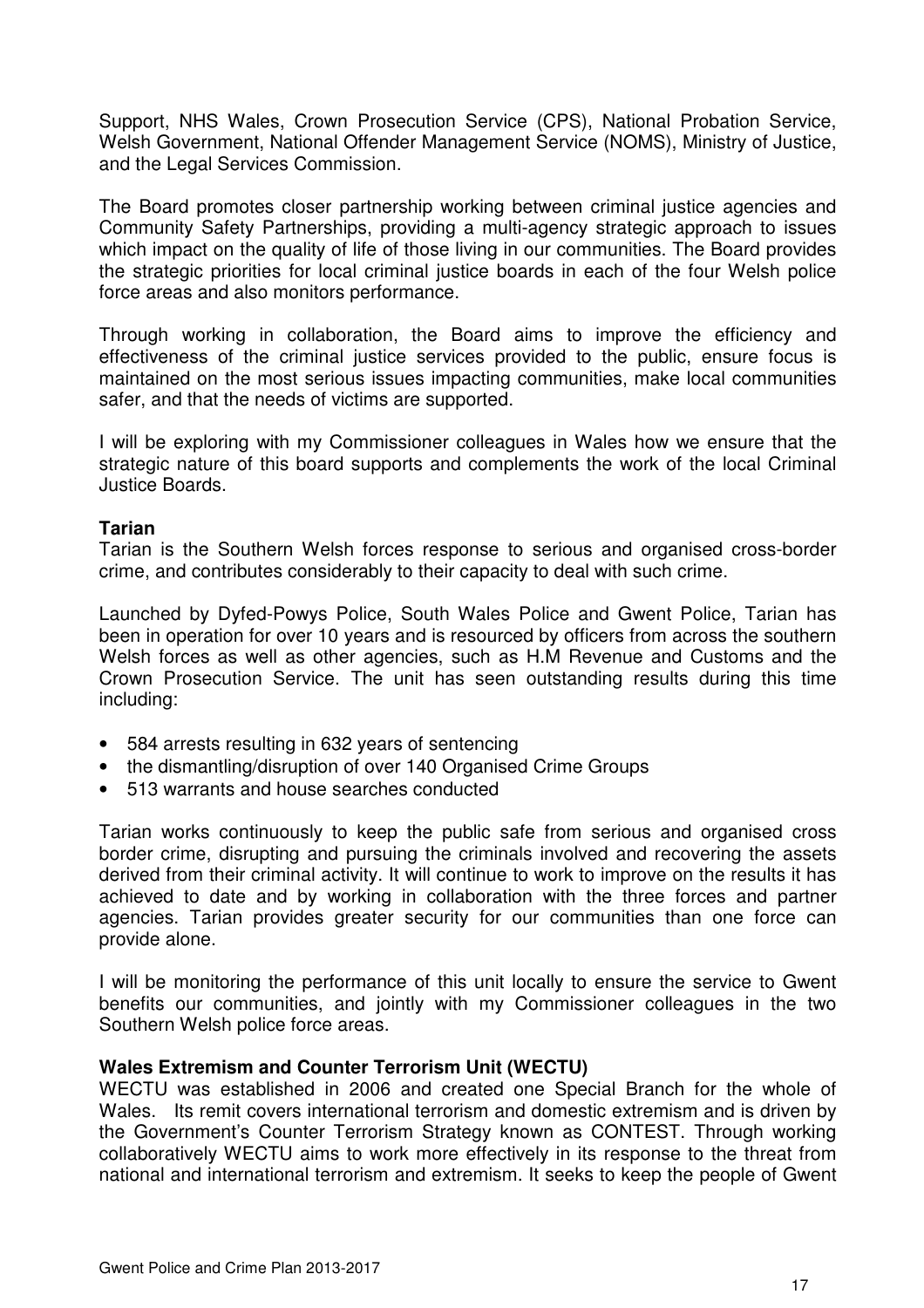Support, NHS Wales, Crown Prosecution Service (CPS), National Probation Service, Welsh Government, National Offender Management Service (NOMS), Ministry of Justice, and the Legal Services Commission.

The Board promotes closer partnership working between criminal justice agencies and Community Safety Partnerships, providing a multi-agency strategic approach to issues which impact on the quality of life of those living in our communities. The Board provides the strategic priorities for local criminal justice boards in each of the four Welsh police force areas and also monitors performance.

Through working in collaboration, the Board aims to improve the efficiency and effectiveness of the criminal justice services provided to the public, ensure focus is maintained on the most serious issues impacting communities, make local communities safer, and that the needs of victims are supported.

I will be exploring with my Commissioner colleagues in Wales how we ensure that the strategic nature of this board supports and complements the work of the local Criminal Justice Boards.

#### **Tarian**

Tarian is the Southern Welsh forces response to serious and organised cross-border crime, and contributes considerably to their capacity to deal with such crime.

Launched by Dyfed-Powys Police, South Wales Police and Gwent Police, Tarian has been in operation for over 10 years and is resourced by officers from across the southern Welsh forces as well as other agencies, such as H.M Revenue and Customs and the Crown Prosecution Service. The unit has seen outstanding results during this time including:

- 584 arrests resulting in 632 years of sentencing
- the dismantling/disruption of over 140 Organised Crime Groups
- 513 warrants and house searches conducted

Tarian works continuously to keep the public safe from serious and organised cross border crime, disrupting and pursuing the criminals involved and recovering the assets derived from their criminal activity. It will continue to work to improve on the results it has achieved to date and by working in collaboration with the three forces and partner agencies. Tarian provides greater security for our communities than one force can provide alone.

I will be monitoring the performance of this unit locally to ensure the service to Gwent benefits our communities, and jointly with my Commissioner colleagues in the two Southern Welsh police force areas.

#### **Wales Extremism and Counter Terrorism Unit (WECTU)**

WECTU was established in 2006 and created one Special Branch for the whole of Wales. Its remit covers international terrorism and domestic extremism and is driven by the Government's Counter Terrorism Strategy known as CONTEST. Through working collaboratively WECTU aims to work more effectively in its response to the threat from national and international terrorism and extremism. It seeks to keep the people of Gwent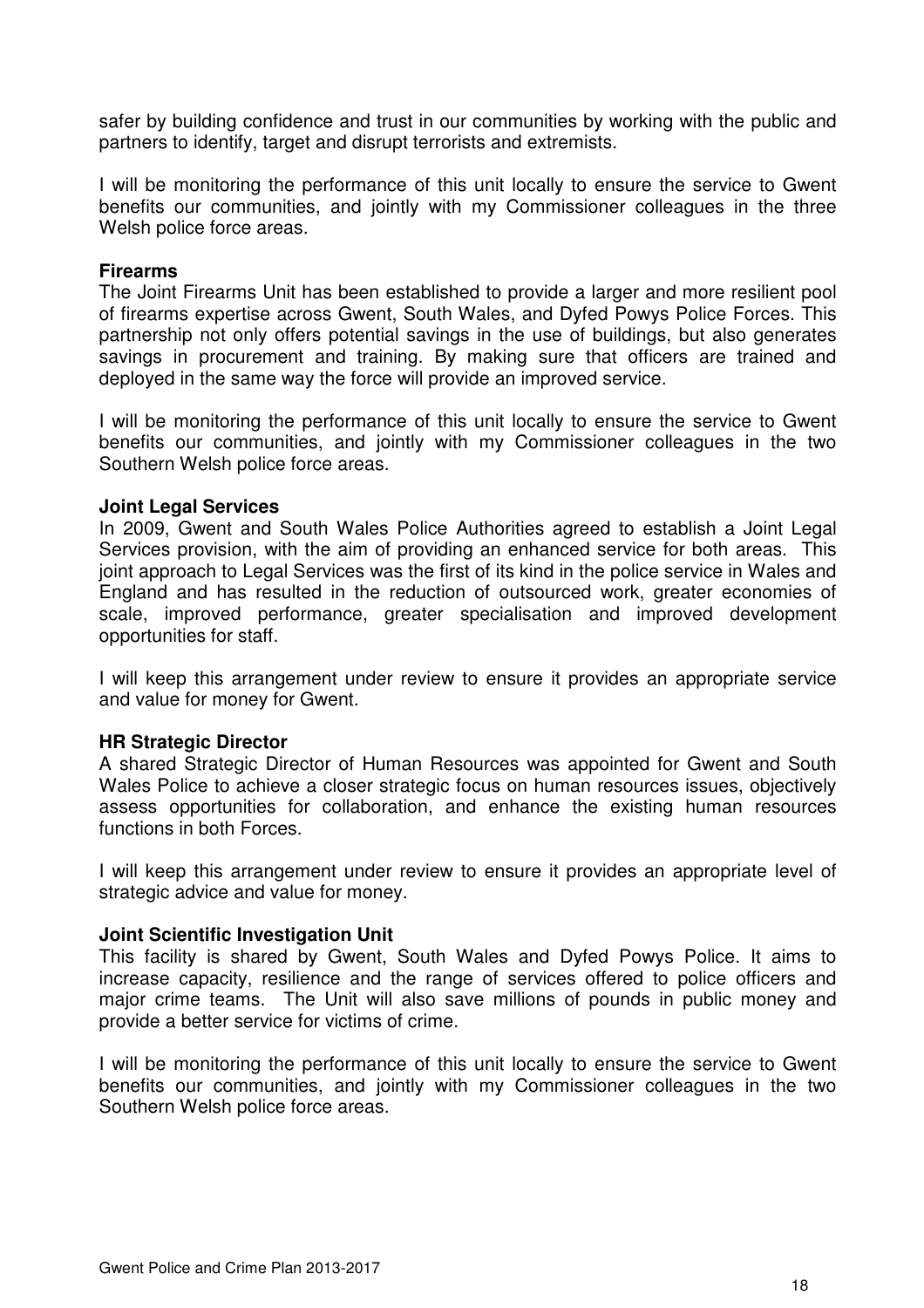safer by building confidence and trust in our communities by working with the public and partners to identify, target and disrupt terrorists and extremists.

I will be monitoring the performance of this unit locally to ensure the service to Gwent benefits our communities, and jointly with my Commissioner colleagues in the three Welsh police force areas.

#### **Firearms**

The Joint Firearms Unit has been established to provide a larger and more resilient pool of firearms expertise across Gwent, South Wales, and Dyfed Powys Police Forces. This partnership not only offers potential savings in the use of buildings, but also generates savings in procurement and training. By making sure that officers are trained and deployed in the same way the force will provide an improved service.

I will be monitoring the performance of this unit locally to ensure the service to Gwent benefits our communities, and jointly with my Commissioner colleagues in the two Southern Welsh police force areas.

#### **Joint Legal Services**

In 2009, Gwent and South Wales Police Authorities agreed to establish a Joint Legal Services provision, with the aim of providing an enhanced service for both areas. This joint approach to Legal Services was the first of its kind in the police service in Wales and England and has resulted in the reduction of outsourced work, greater economies of scale, improved performance, greater specialisation and improved development opportunities for staff.

I will keep this arrangement under review to ensure it provides an appropriate service and value for money for Gwent.

#### **HR Strategic Director**

A shared Strategic Director of Human Resources was appointed for Gwent and South Wales Police to achieve a closer strategic focus on human resources issues, objectively assess opportunities for collaboration, and enhance the existing human resources functions in both Forces.

I will keep this arrangement under review to ensure it provides an appropriate level of strategic advice and value for money.

#### **Joint Scientific Investigation Unit**

This facility is shared by Gwent, South Wales and Dyfed Powys Police. It aims to increase capacity, resilience and the range of services offered to police officers and major crime teams. The Unit will also save millions of pounds in public money and provide a better service for victims of crime.

I will be monitoring the performance of this unit locally to ensure the service to Gwent benefits our communities, and jointly with my Commissioner colleagues in the two Southern Welsh police force areas.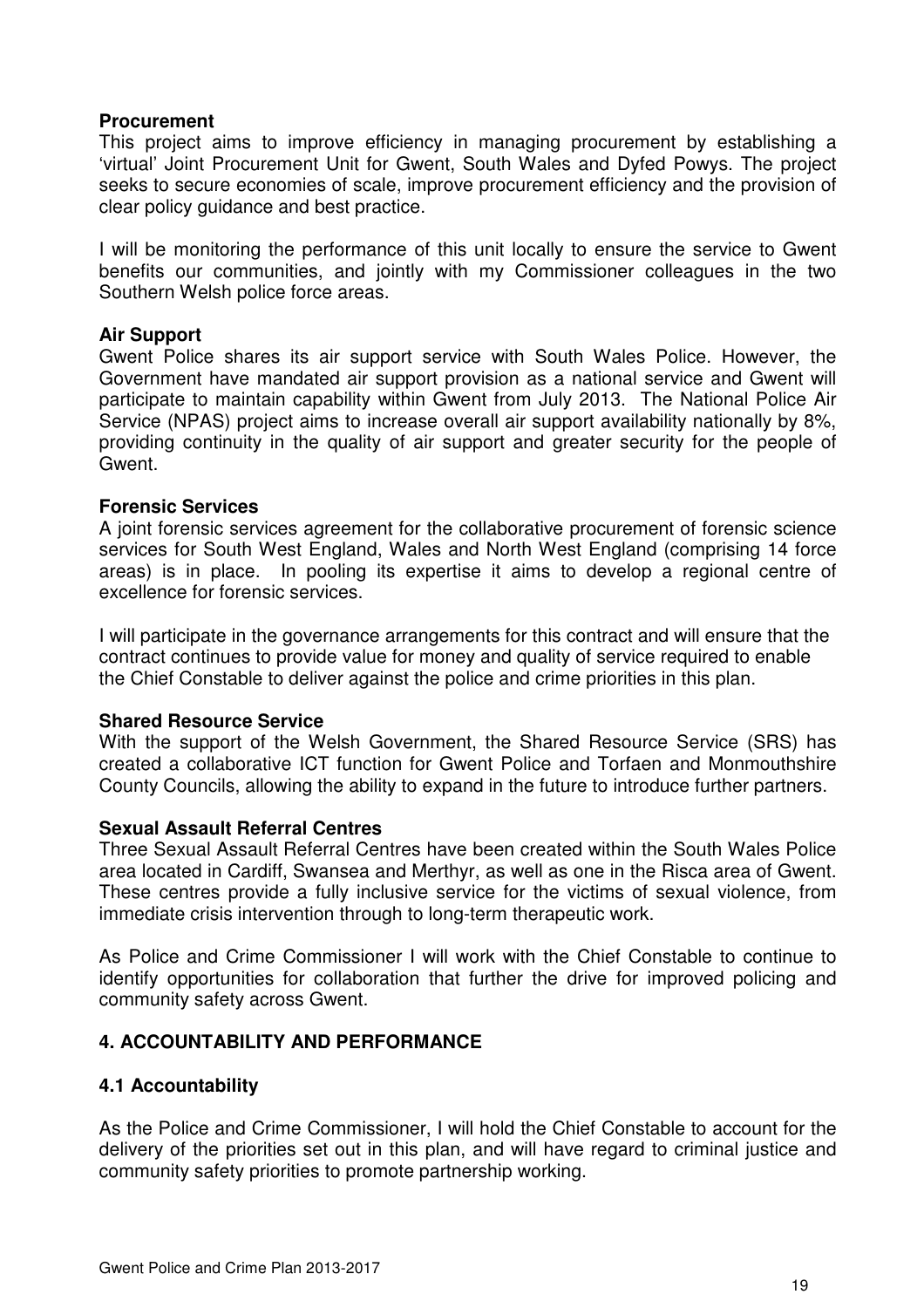#### **Procurement**

This project aims to improve efficiency in managing procurement by establishing a 'virtual' Joint Procurement Unit for Gwent, South Wales and Dyfed Powys. The project seeks to secure economies of scale, improve procurement efficiency and the provision of clear policy guidance and best practice.

I will be monitoring the performance of this unit locally to ensure the service to Gwent benefits our communities, and jointly with my Commissioner colleagues in the two Southern Welsh police force areas.

#### **Air Support**

Gwent Police shares its air support service with South Wales Police. However, the Government have mandated air support provision as a national service and Gwent will participate to maintain capability within Gwent from July 2013. The National Police Air Service (NPAS) project aims to increase overall air support availability nationally by 8%, providing continuity in the quality of air support and greater security for the people of Gwent.

#### **Forensic Services**

A joint forensic services agreement for the collaborative procurement of forensic science services for South West England, Wales and North West England (comprising 14 force areas) is in place. In pooling its expertise it aims to develop a regional centre of excellence for forensic services.

I will participate in the governance arrangements for this contract and will ensure that the contract continues to provide value for money and quality of service required to enable the Chief Constable to deliver against the police and crime priorities in this plan.

#### **Shared Resource Service**

With the support of the Welsh Government, the Shared Resource Service (SRS) has created a collaborative ICT function for Gwent Police and Torfaen and Monmouthshire County Councils, allowing the ability to expand in the future to introduce further partners.

#### **Sexual Assault Referral Centres**

Three Sexual Assault Referral Centres have been created within the South Wales Police area located in Cardiff, Swansea and Merthyr, as well as one in the Risca area of Gwent. These centres provide a fully inclusive service for the victims of sexual violence, from immediate crisis intervention through to long-term therapeutic work.

As Police and Crime Commissioner I will work with the Chief Constable to continue to identify opportunities for collaboration that further the drive for improved policing and community safety across Gwent.

#### **4. ACCOUNTABILITY AND PERFORMANCE**

#### **4.1 Accountability**

As the Police and Crime Commissioner, I will hold the Chief Constable to account for the delivery of the priorities set out in this plan, and will have regard to criminal justice and community safety priorities to promote partnership working.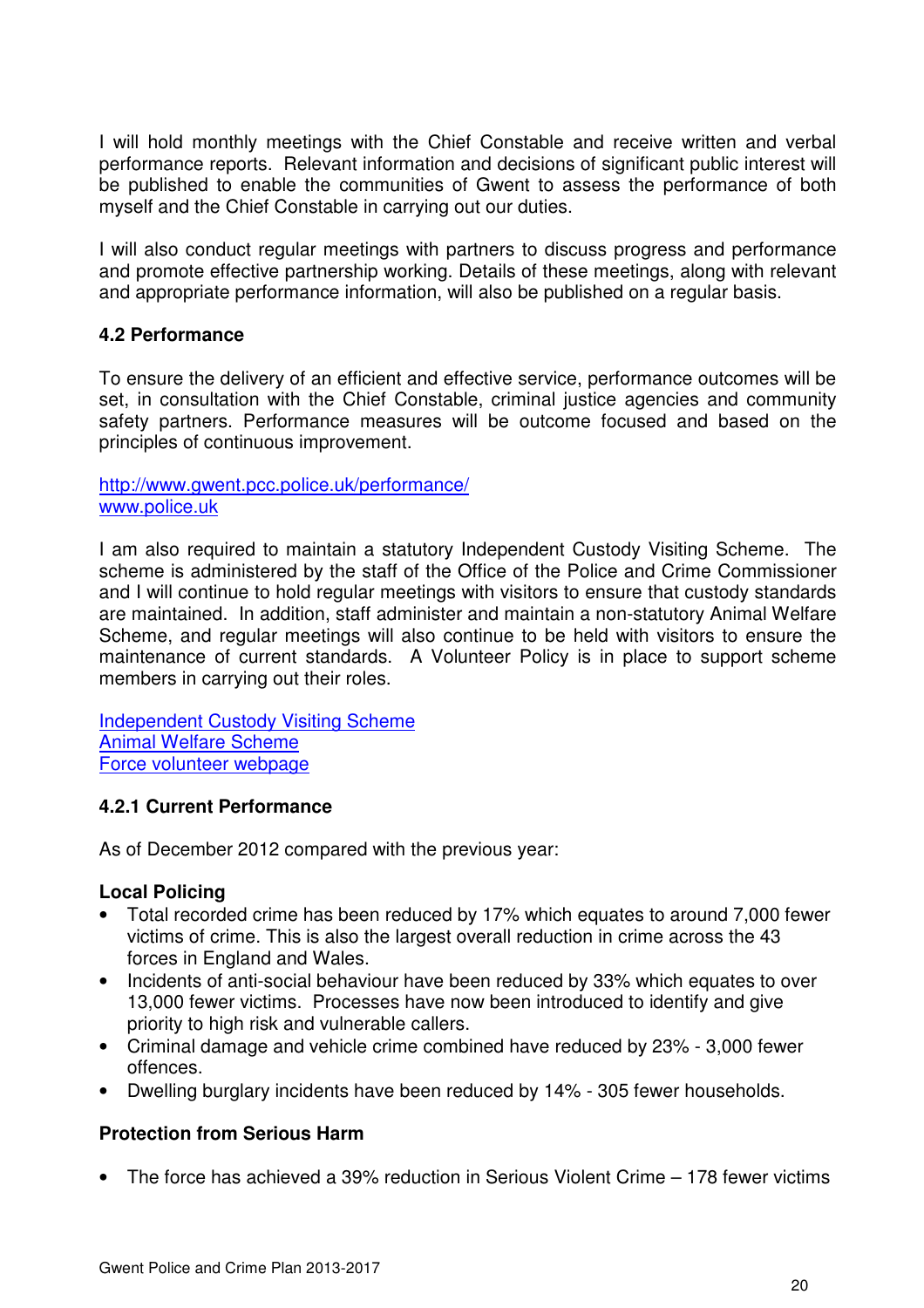I will hold monthly meetings with the Chief Constable and receive written and verbal performance reports. Relevant information and decisions of significant public interest will be published to enable the communities of Gwent to assess the performance of both myself and the Chief Constable in carrying out our duties.

I will also conduct regular meetings with partners to discuss progress and performance and promote effective partnership working. Details of these meetings, along with relevant and appropriate performance information, will also be published on a regular basis.

#### **4.2 Performance**

To ensure the delivery of an efficient and effective service, performance outcomes will be set, in consultation with the Chief Constable, criminal justice agencies and community safety partners. Performance measures will be outcome focused and based on the principles of continuous improvement.

#### http://www.gwent.pcc.police.uk/performance/ www.police.uk

I am also required to maintain a statutory Independent Custody Visiting Scheme. The scheme is administered by the staff of the Office of the Police and Crime Commissioner and I will continue to hold regular meetings with visitors to ensure that custody standards are maintained. In addition, staff administer and maintain a non-statutory Animal Welfare Scheme, and regular meetings will also continue to be held with visitors to ensure the maintenance of current standards. A Volunteer Policy is in place to support scheme members in carrying out their roles.

Independent Custody Visiting Scheme Animal Welfare Scheme Force volunteer webpage

#### **4.2.1 Current Performance**

As of December 2012 compared with the previous year:

#### **Local Policing**

- Total recorded crime has been reduced by 17% which equates to around 7,000 fewer victims of crime. This is also the largest overall reduction in crime across the 43 forces in England and Wales.
- Incidents of anti-social behaviour have been reduced by 33% which equates to over 13,000 fewer victims. Processes have now been introduced to identify and give priority to high risk and vulnerable callers.
- Criminal damage and vehicle crime combined have reduced by 23% 3,000 fewer offences.
- Dwelling burglary incidents have been reduced by 14% 305 fewer households.

#### **Protection from Serious Harm**

• The force has achieved a 39% reduction in Serious Violent Crime – 178 fewer victims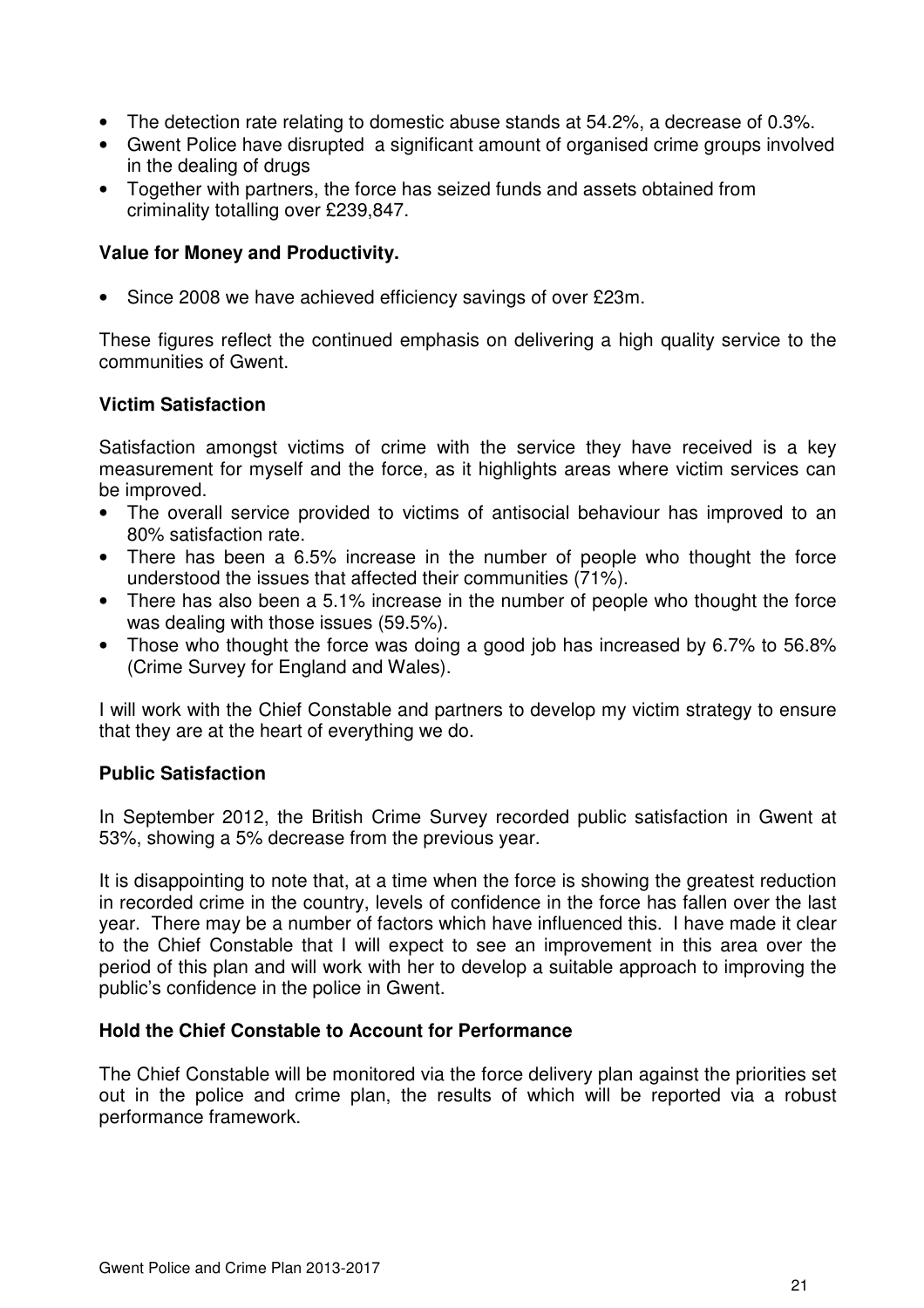- The detection rate relating to domestic abuse stands at 54.2%, a decrease of 0.3%.
- Gwent Police have disrupted a significant amount of organised crime groups involved in the dealing of drugs
- Together with partners, the force has seized funds and assets obtained from criminality totalling over £239,847.

#### **Value for Money and Productivity.**

• Since 2008 we have achieved efficiency savings of over £23m.

These figures reflect the continued emphasis on delivering a high quality service to the communities of Gwent.

#### **Victim Satisfaction**

Satisfaction amongst victims of crime with the service they have received is a key measurement for myself and the force, as it highlights areas where victim services can be improved.

- The overall service provided to victims of antisocial behaviour has improved to an 80% satisfaction rate.
- There has been a 6.5% increase in the number of people who thought the force understood the issues that affected their communities (71%).
- There has also been a 5.1% increase in the number of people who thought the force was dealing with those issues (59.5%).
- Those who thought the force was doing a good job has increased by 6.7% to 56.8% (Crime Survey for England and Wales).

I will work with the Chief Constable and partners to develop my victim strategy to ensure that they are at the heart of everything we do.

#### **Public Satisfaction**

In September 2012, the British Crime Survey recorded public satisfaction in Gwent at 53%, showing a 5% decrease from the previous year.

It is disappointing to note that, at a time when the force is showing the greatest reduction in recorded crime in the country, levels of confidence in the force has fallen over the last year. There may be a number of factors which have influenced this. I have made it clear to the Chief Constable that I will expect to see an improvement in this area over the period of this plan and will work with her to develop a suitable approach to improving the public's confidence in the police in Gwent.

#### **Hold the Chief Constable to Account for Performance**

The Chief Constable will be monitored via the force delivery plan against the priorities set out in the police and crime plan, the results of which will be reported via a robust performance framework.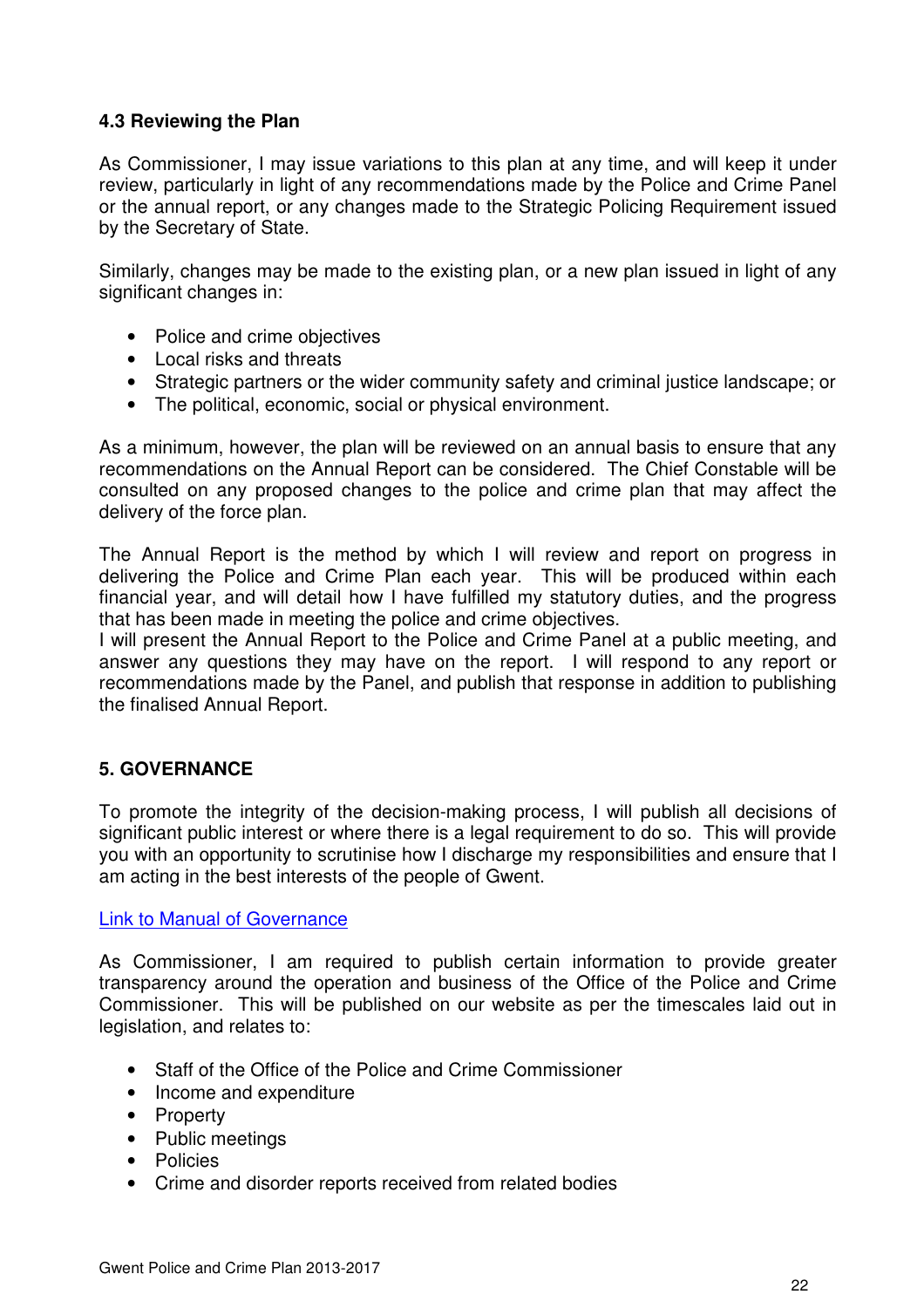#### **4.3 Reviewing the Plan**

As Commissioner, I may issue variations to this plan at any time, and will keep it under review, particularly in light of any recommendations made by the Police and Crime Panel or the annual report, or any changes made to the Strategic Policing Requirement issued by the Secretary of State.

Similarly, changes may be made to the existing plan, or a new plan issued in light of any significant changes in:

- Police and crime objectives
- Local risks and threats
- Strategic partners or the wider community safety and criminal justice landscape; or
- The political, economic, social or physical environment.

As a minimum, however, the plan will be reviewed on an annual basis to ensure that any recommendations on the Annual Report can be considered. The Chief Constable will be consulted on any proposed changes to the police and crime plan that may affect the delivery of the force plan.

The Annual Report is the method by which I will review and report on progress in delivering the Police and Crime Plan each year. This will be produced within each financial year, and will detail how I have fulfilled my statutory duties, and the progress that has been made in meeting the police and crime objectives.

I will present the Annual Report to the Police and Crime Panel at a public meeting, and answer any questions they may have on the report. I will respond to any report or recommendations made by the Panel, and publish that response in addition to publishing the finalised Annual Report.

#### **5. GOVERNANCE**

To promote the integrity of the decision-making process, I will publish all decisions of significant public interest or where there is a legal requirement to do so. This will provide you with an opportunity to scrutinise how I discharge my responsibilities and ensure that I am acting in the best interests of the people of Gwent.

#### Link to Manual of Governance

As Commissioner, I am required to publish certain information to provide greater transparency around the operation and business of the Office of the Police and Crime Commissioner. This will be published on our website as per the timescales laid out in legislation, and relates to:

- Staff of the Office of the Police and Crime Commissioner
- Income and expenditure
- Property
- Public meetings
- Policies
- Crime and disorder reports received from related bodies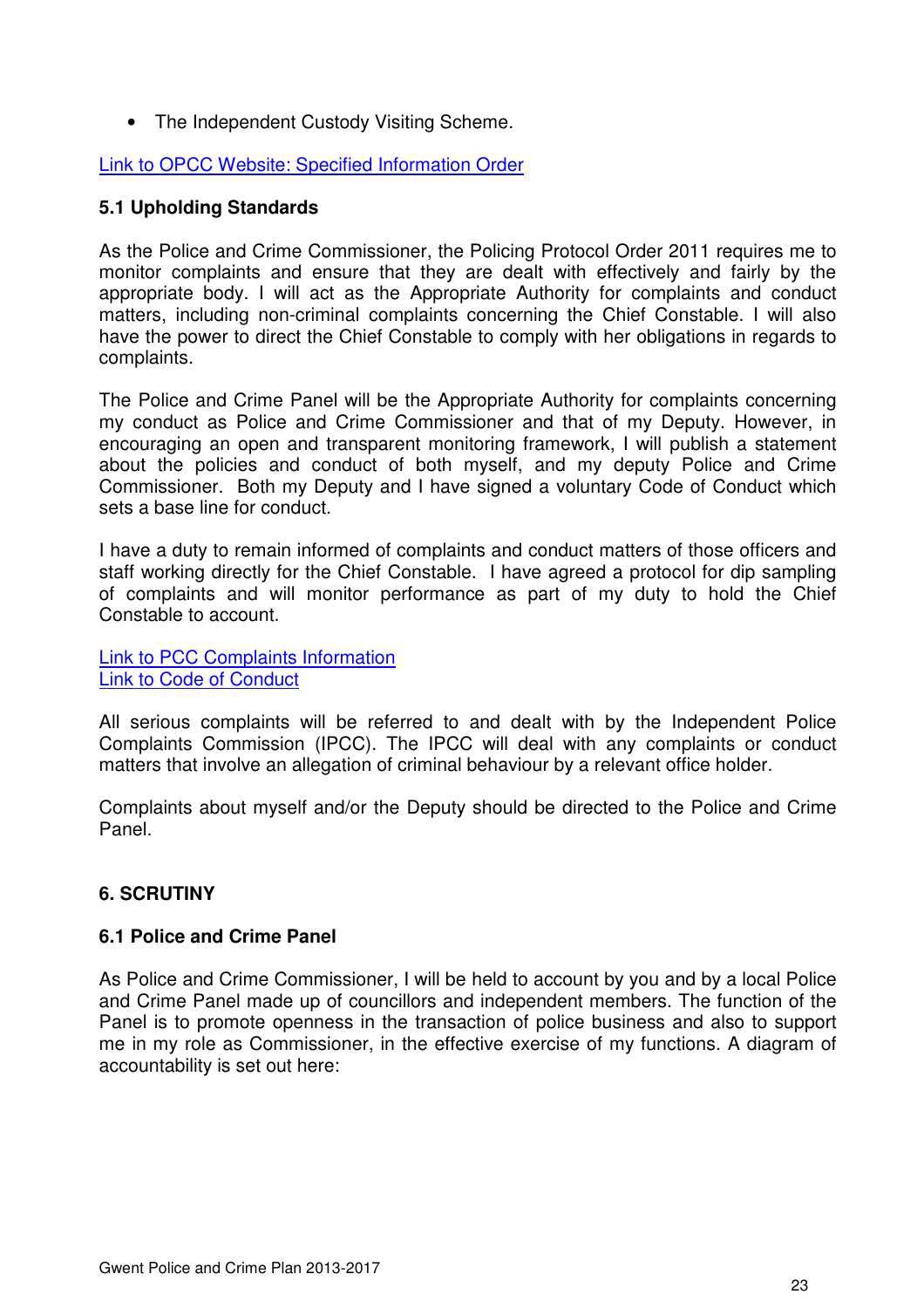• The Independent Custody Visiting Scheme.

#### Link to OPCC Website: Specified Information Order

#### **5.1 Upholding Standards**

As the Police and Crime Commissioner, the Policing Protocol Order 2011 requires me to monitor complaints and ensure that they are dealt with effectively and fairly by the appropriate body. I will act as the Appropriate Authority for complaints and conduct matters, including non-criminal complaints concerning the Chief Constable. I will also have the power to direct the Chief Constable to comply with her obligations in regards to complaints.

The Police and Crime Panel will be the Appropriate Authority for complaints concerning my conduct as Police and Crime Commissioner and that of my Deputy. However, in encouraging an open and transparent monitoring framework, I will publish a statement about the policies and conduct of both myself, and my deputy Police and Crime Commissioner. Both my Deputy and I have signed a voluntary Code of Conduct which sets a base line for conduct.

I have a duty to remain informed of complaints and conduct matters of those officers and staff working directly for the Chief Constable. I have agreed a protocol for dip sampling of complaints and will monitor performance as part of my duty to hold the Chief Constable to account.

Link to PCC Complaints Information Link to Code of Conduct

All serious complaints will be referred to and dealt with by the Independent Police Complaints Commission (IPCC). The IPCC will deal with any complaints or conduct matters that involve an allegation of criminal behaviour by a relevant office holder.

Complaints about myself and/or the Deputy should be directed to the Police and Crime Panel.

#### **6. SCRUTINY**

#### **6.1 Police and Crime Panel**

As Police and Crime Commissioner, I will be held to account by you and by a local Police and Crime Panel made up of councillors and independent members. The function of the Panel is to promote openness in the transaction of police business and also to support me in my role as Commissioner, in the effective exercise of my functions. A diagram of accountability is set out here: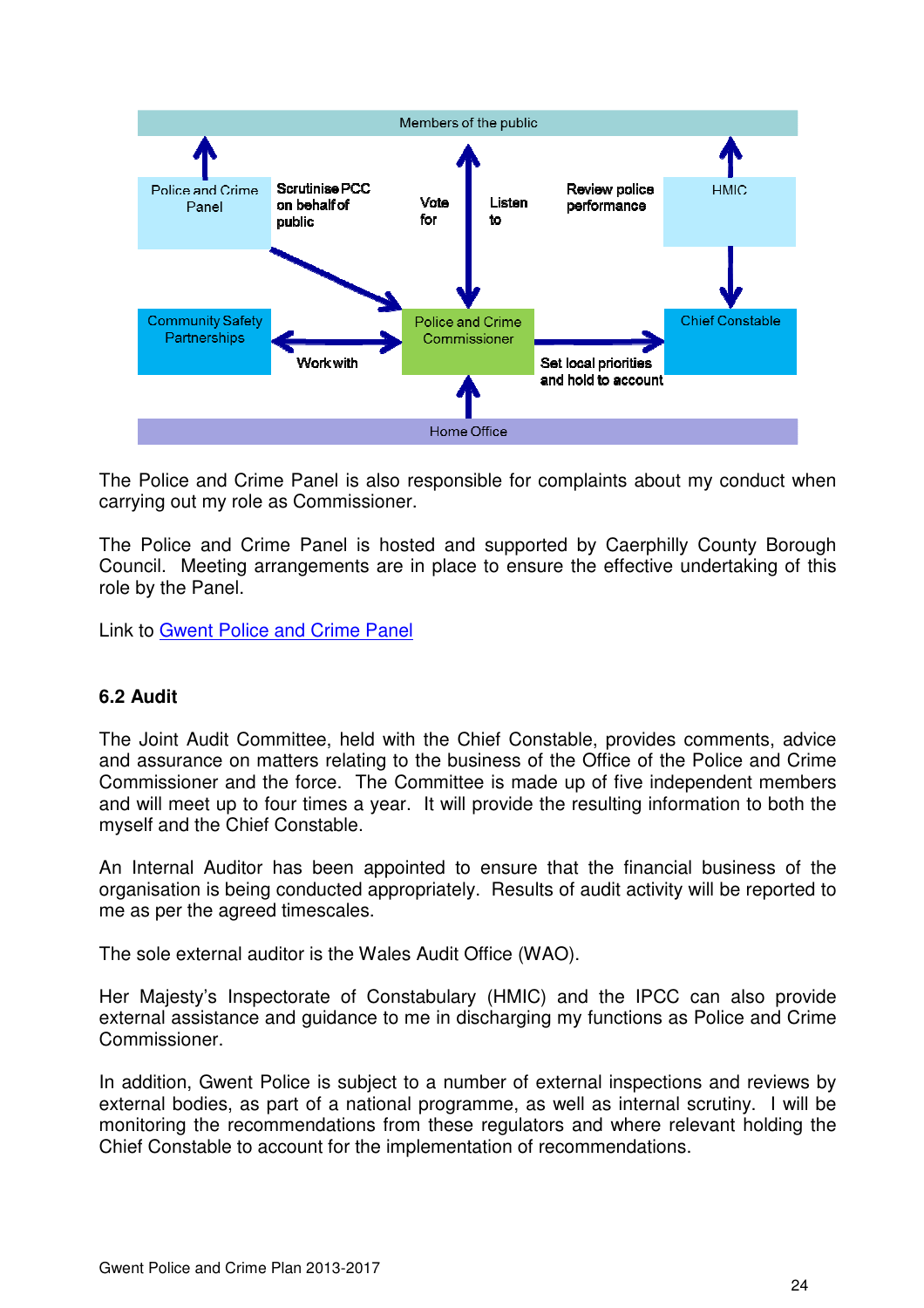

The Police and Crime Panel is also responsible for complaints about my conduct when carrying out my role as Commissioner.

The Police and Crime Panel is hosted and supported by Caerphilly County Borough Council. Meeting arrangements are in place to ensure the effective undertaking of this role by the Panel.

Link to Gwent Police and Crime Panel

#### **6.2 Audit**

The Joint Audit Committee, held with the Chief Constable, provides comments, advice and assurance on matters relating to the business of the Office of the Police and Crime Commissioner and the force. The Committee is made up of five independent members and will meet up to four times a year. It will provide the resulting information to both the myself and the Chief Constable.

An Internal Auditor has been appointed to ensure that the financial business of the organisation is being conducted appropriately. Results of audit activity will be reported to me as per the agreed timescales.

The sole external auditor is the Wales Audit Office (WAO).

Her Majesty's Inspectorate of Constabulary (HMIC) and the IPCC can also provide external assistance and guidance to me in discharging my functions as Police and Crime Commissioner.

In addition, Gwent Police is subject to a number of external inspections and reviews by external bodies, as part of a national programme, as well as internal scrutiny. I will be monitoring the recommendations from these regulators and where relevant holding the Chief Constable to account for the implementation of recommendations.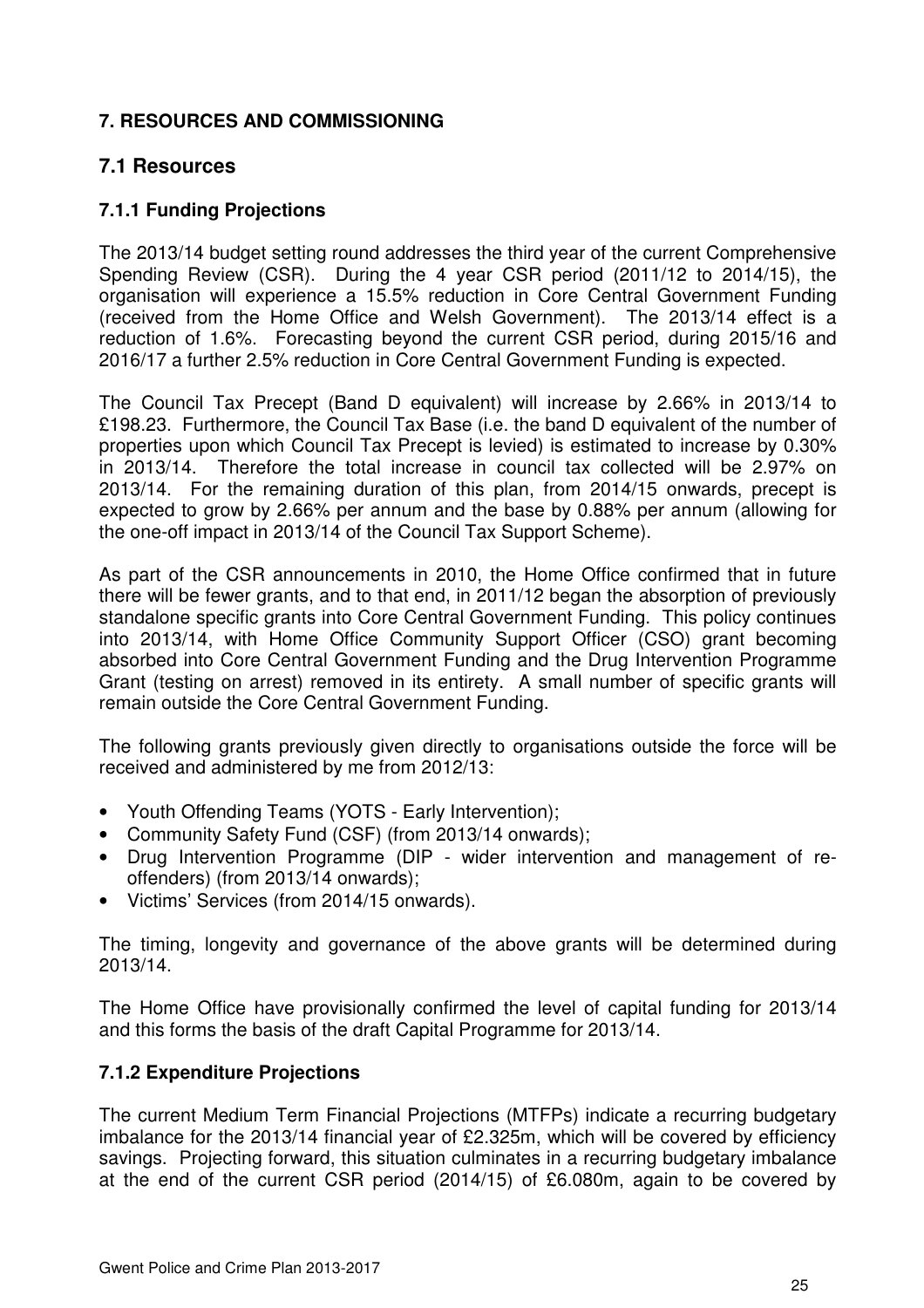## **7. RESOURCES AND COMMISSIONING**

## **7.1 Resources**

## **7.1.1 Funding Projections**

The 2013/14 budget setting round addresses the third year of the current Comprehensive Spending Review (CSR). During the 4 year CSR period (2011/12 to 2014/15), the organisation will experience a 15.5% reduction in Core Central Government Funding (received from the Home Office and Welsh Government). The 2013/14 effect is a reduction of 1.6%. Forecasting beyond the current CSR period, during 2015/16 and 2016/17 a further 2.5% reduction in Core Central Government Funding is expected.

The Council Tax Precept (Band D equivalent) will increase by 2.66% in 2013/14 to £198.23. Furthermore, the Council Tax Base (i.e. the band D equivalent of the number of properties upon which Council Tax Precept is levied) is estimated to increase by 0.30% in 2013/14. Therefore the total increase in council tax collected will be 2.97% on 2013/14. For the remaining duration of this plan, from 2014/15 onwards, precept is expected to grow by 2.66% per annum and the base by 0.88% per annum (allowing for the one-off impact in 2013/14 of the Council Tax Support Scheme).

As part of the CSR announcements in 2010, the Home Office confirmed that in future there will be fewer grants, and to that end, in 2011/12 began the absorption of previously standalone specific grants into Core Central Government Funding. This policy continues into 2013/14, with Home Office Community Support Officer (CSO) grant becoming absorbed into Core Central Government Funding and the Drug Intervention Programme Grant (testing on arrest) removed in its entirety. A small number of specific grants will remain outside the Core Central Government Funding.

The following grants previously given directly to organisations outside the force will be received and administered by me from 2012/13:

- Youth Offending Teams (YOTS Early Intervention);
- Community Safety Fund (CSF) (from 2013/14 onwards);
- Drug Intervention Programme (DIP wider intervention and management of reoffenders) (from 2013/14 onwards);
- Victims' Services (from 2014/15 onwards).

The timing, longevity and governance of the above grants will be determined during 2013/14.

The Home Office have provisionally confirmed the level of capital funding for 2013/14 and this forms the basis of the draft Capital Programme for 2013/14.

#### **7.1.2 Expenditure Projections**

The current Medium Term Financial Projections (MTFPs) indicate a recurring budgetary imbalance for the 2013/14 financial year of £2.325m, which will be covered by efficiency savings. Projecting forward, this situation culminates in a recurring budgetary imbalance at the end of the current CSR period (2014/15) of £6.080m, again to be covered by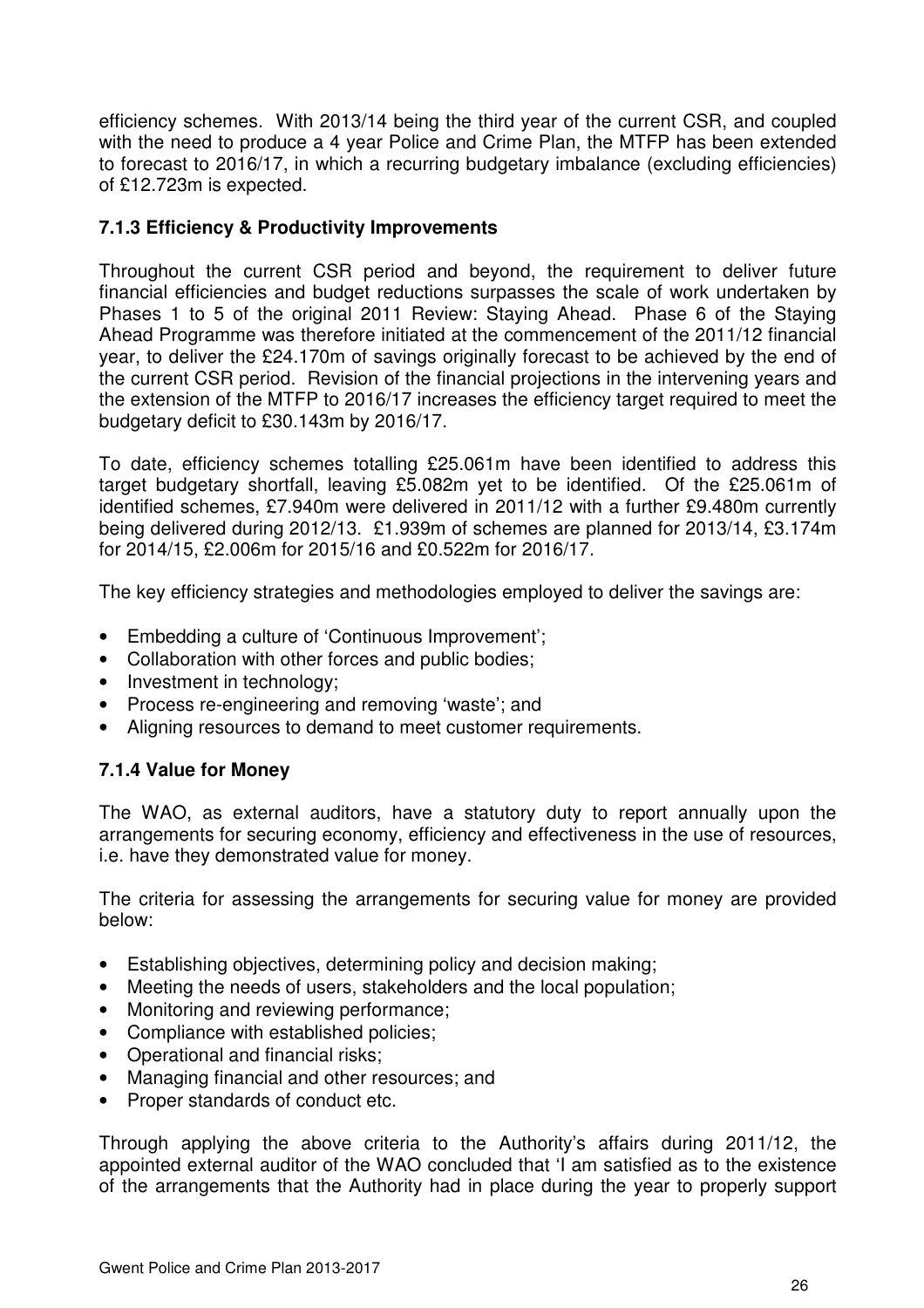efficiency schemes. With 2013/14 being the third year of the current CSR, and coupled with the need to produce a 4 year Police and Crime Plan, the MTFP has been extended to forecast to 2016/17, in which a recurring budgetary imbalance (excluding efficiencies) of £12.723m is expected.

#### **7.1.3 Efficiency & Productivity Improvements**

Throughout the current CSR period and beyond, the requirement to deliver future financial efficiencies and budget reductions surpasses the scale of work undertaken by Phases 1 to 5 of the original 2011 Review: Staying Ahead. Phase 6 of the Staying Ahead Programme was therefore initiated at the commencement of the 2011/12 financial year, to deliver the £24.170m of savings originally forecast to be achieved by the end of the current CSR period. Revision of the financial projections in the intervening years and the extension of the MTFP to 2016/17 increases the efficiency target required to meet the budgetary deficit to £30.143m by 2016/17.

To date, efficiency schemes totalling £25.061m have been identified to address this target budgetary shortfall, leaving £5.082m yet to be identified. Of the £25.061m of identified schemes, £7.940m were delivered in 2011/12 with a further £9.480m currently being delivered during 2012/13. £1.939m of schemes are planned for 2013/14, £3.174m for 2014/15, £2.006m for 2015/16 and £0.522m for 2016/17.

The key efficiency strategies and methodologies employed to deliver the savings are:

- Embedding a culture of 'Continuous Improvement';
- Collaboration with other forces and public bodies;
- Investment in technology;
- Process re-engineering and removing 'waste'; and
- Aligning resources to demand to meet customer requirements.

#### **7.1.4 Value for Money**

The WAO, as external auditors, have a statutory duty to report annually upon the arrangements for securing economy, efficiency and effectiveness in the use of resources, i.e. have they demonstrated value for money.

The criteria for assessing the arrangements for securing value for money are provided below:

- Establishing objectives, determining policy and decision making;
- Meeting the needs of users, stakeholders and the local population;
- Monitoring and reviewing performance;
- Compliance with established policies;
- Operational and financial risks;
- Managing financial and other resources; and
- Proper standards of conduct etc.

Through applying the above criteria to the Authority's affairs during 2011/12, the appointed external auditor of the WAO concluded that 'I am satisfied as to the existence of the arrangements that the Authority had in place during the year to properly support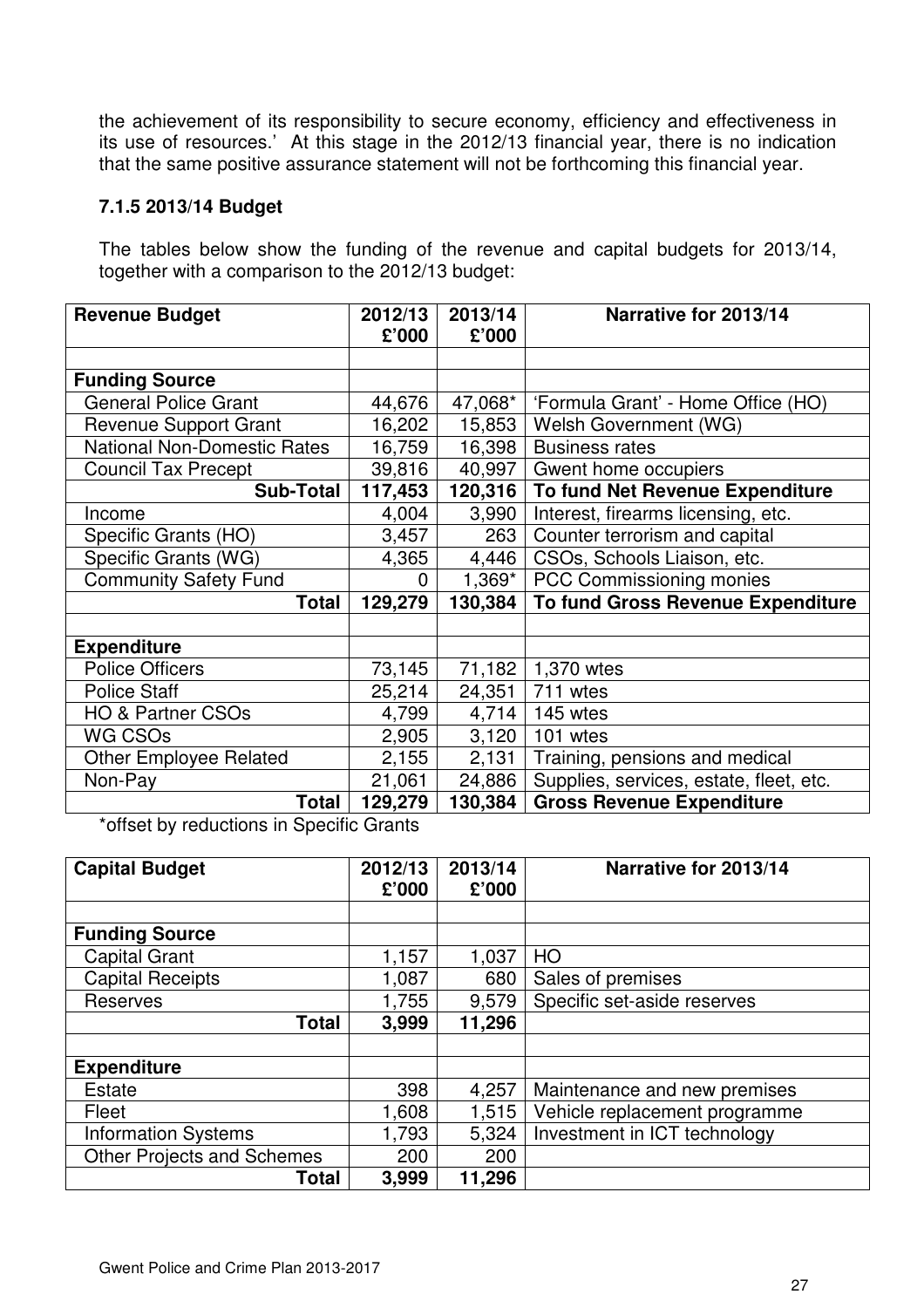the achievement of its responsibility to secure economy, efficiency and effectiveness in its use of resources.' At this stage in the 2012/13 financial year, there is no indication that the same positive assurance statement will not be forthcoming this financial year.

#### **7.1.5 2013/14 Budget**

The tables below show the funding of the revenue and capital budgets for 2013/14, together with a comparison to the 2012/13 budget:

| <b>Revenue Budget</b>              | 2012/13 | 2013/14  | Narrative for 2013/14                   |  |
|------------------------------------|---------|----------|-----------------------------------------|--|
|                                    | £'000   | £'000    |                                         |  |
|                                    |         |          |                                         |  |
| <b>Funding Source</b>              |         |          |                                         |  |
| <b>General Police Grant</b>        | 44,676  | 47,068*  | 'Formula Grant' - Home Office (HO)      |  |
| <b>Revenue Support Grant</b>       | 16,202  | 15,853   | Welsh Government (WG)                   |  |
| <b>National Non-Domestic Rates</b> | 16,759  | 16,398   | <b>Business rates</b>                   |  |
| <b>Council Tax Precept</b>         | 39,816  | 40,997   | Gwent home occupiers                    |  |
| <b>Sub-Total</b>                   | 117,453 | 120,316  | To fund Net Revenue Expenditure         |  |
| Income                             | 4,004   | 3,990    | Interest, firearms licensing, etc.      |  |
| Specific Grants (HO)               | 3,457   | 263      | Counter terrorism and capital           |  |
| Specific Grants (WG)               | 4,365   | 4,446    | CSOs, Schools Liaison, etc.             |  |
| <b>Community Safety Fund</b>       | 0       | $1,369*$ | PCC Commissioning monies                |  |
| <b>Total</b>                       | 129,279 | 130,384  | To fund Gross Revenue Expenditure       |  |
|                                    |         |          |                                         |  |
| <b>Expenditure</b>                 |         |          |                                         |  |
| <b>Police Officers</b>             | 73,145  | 71,182   | 1,370 wtes                              |  |
| <b>Police Staff</b>                | 25,214  | 24,351   | 711 wtes                                |  |
| <b>HO &amp; Partner CSOs</b>       | 4,799   | 4,714    | 145 wtes                                |  |
| WG CSOs                            | 2,905   | 3,120    | 101 wtes                                |  |
| <b>Other Employee Related</b>      | 2,155   | 2,131    | Training, pensions and medical          |  |
| Non-Pay                            | 21,061  | 24,886   | Supplies, services, estate, fleet, etc. |  |
| Total                              | 129,279 | 130,384  | <b>Gross Revenue Expenditure</b>        |  |

\*offset by reductions in Specific Grants

| <b>Capital Budget</b>             | 2012/13<br>£'000 | 2013/14<br>£'000 | Narrative for 2013/14         |  |
|-----------------------------------|------------------|------------------|-------------------------------|--|
|                                   |                  |                  |                               |  |
| <b>Funding Source</b>             |                  |                  |                               |  |
| <b>Capital Grant</b>              | 1,157            | 1,037            | HO                            |  |
| <b>Capital Receipts</b>           | 1,087            | 680              | Sales of premises             |  |
| <b>Reserves</b>                   | 1,755            | 9,579            | Specific set-aside reserves   |  |
| <b>Total</b>                      | 3,999            | 11,296           |                               |  |
|                                   |                  |                  |                               |  |
| <b>Expenditure</b>                |                  |                  |                               |  |
| <b>Estate</b>                     | 398              | 4,257            | Maintenance and new premises  |  |
| Fleet                             | 1,608            | 1,515            | Vehicle replacement programme |  |
| <b>Information Systems</b>        | 1,793            | 5,324            | Investment in ICT technology  |  |
| <b>Other Projects and Schemes</b> | 200              | 200              |                               |  |
| Total                             | 3,999            | 11,296           |                               |  |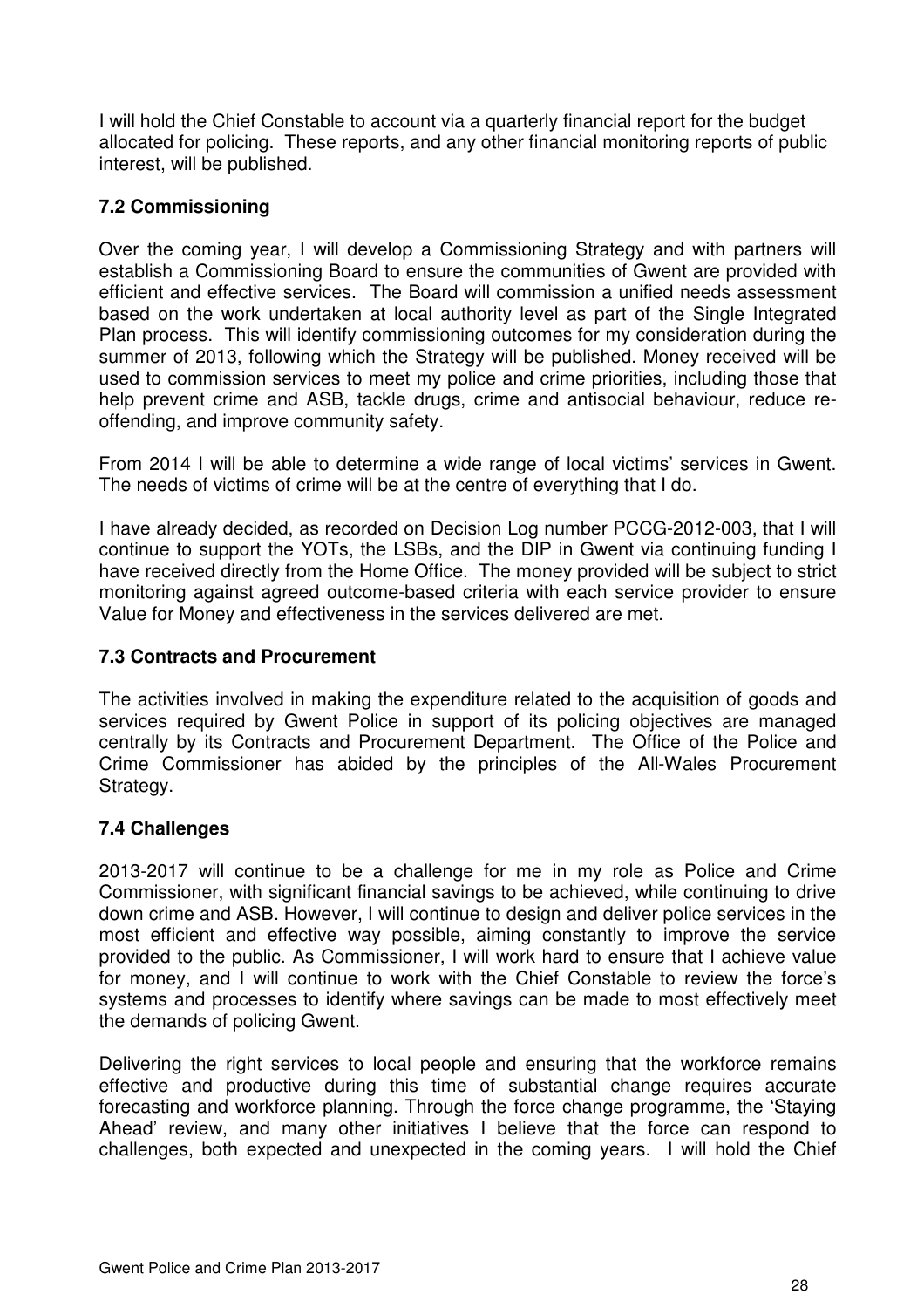I will hold the Chief Constable to account via a quarterly financial report for the budget allocated for policing. These reports, and any other financial monitoring reports of public interest, will be published.

## **7.2 Commissioning**

Over the coming year, I will develop a Commissioning Strategy and with partners will establish a Commissioning Board to ensure the communities of Gwent are provided with efficient and effective services. The Board will commission a unified needs assessment based on the work undertaken at local authority level as part of the Single Integrated Plan process. This will identify commissioning outcomes for my consideration during the summer of 2013, following which the Strategy will be published. Money received will be used to commission services to meet my police and crime priorities, including those that help prevent crime and ASB, tackle drugs, crime and antisocial behaviour, reduce reoffending, and improve community safety.

From 2014 I will be able to determine a wide range of local victims' services in Gwent. The needs of victims of crime will be at the centre of everything that I do.

I have already decided, as recorded on Decision Log number PCCG-2012-003, that I will continue to support the YOTs, the LSBs, and the DIP in Gwent via continuing funding I have received directly from the Home Office. The money provided will be subject to strict monitoring against agreed outcome-based criteria with each service provider to ensure Value for Money and effectiveness in the services delivered are met.

#### **7.3 Contracts and Procurement**

The activities involved in making the expenditure related to the acquisition of goods and services required by Gwent Police in support of its policing objectives are managed centrally by its Contracts and Procurement Department. The Office of the Police and Crime Commissioner has abided by the principles of the All-Wales Procurement Strategy.

## **7.4 Challenges**

2013-2017 will continue to be a challenge for me in my role as Police and Crime Commissioner, with significant financial savings to be achieved, while continuing to drive down crime and ASB. However, I will continue to design and deliver police services in the most efficient and effective way possible, aiming constantly to improve the service provided to the public. As Commissioner, I will work hard to ensure that I achieve value for money, and I will continue to work with the Chief Constable to review the force's systems and processes to identify where savings can be made to most effectively meet the demands of policing Gwent.

Delivering the right services to local people and ensuring that the workforce remains effective and productive during this time of substantial change requires accurate forecasting and workforce planning. Through the force change programme, the 'Staying Ahead' review, and many other initiatives I believe that the force can respond to challenges, both expected and unexpected in the coming years. I will hold the Chief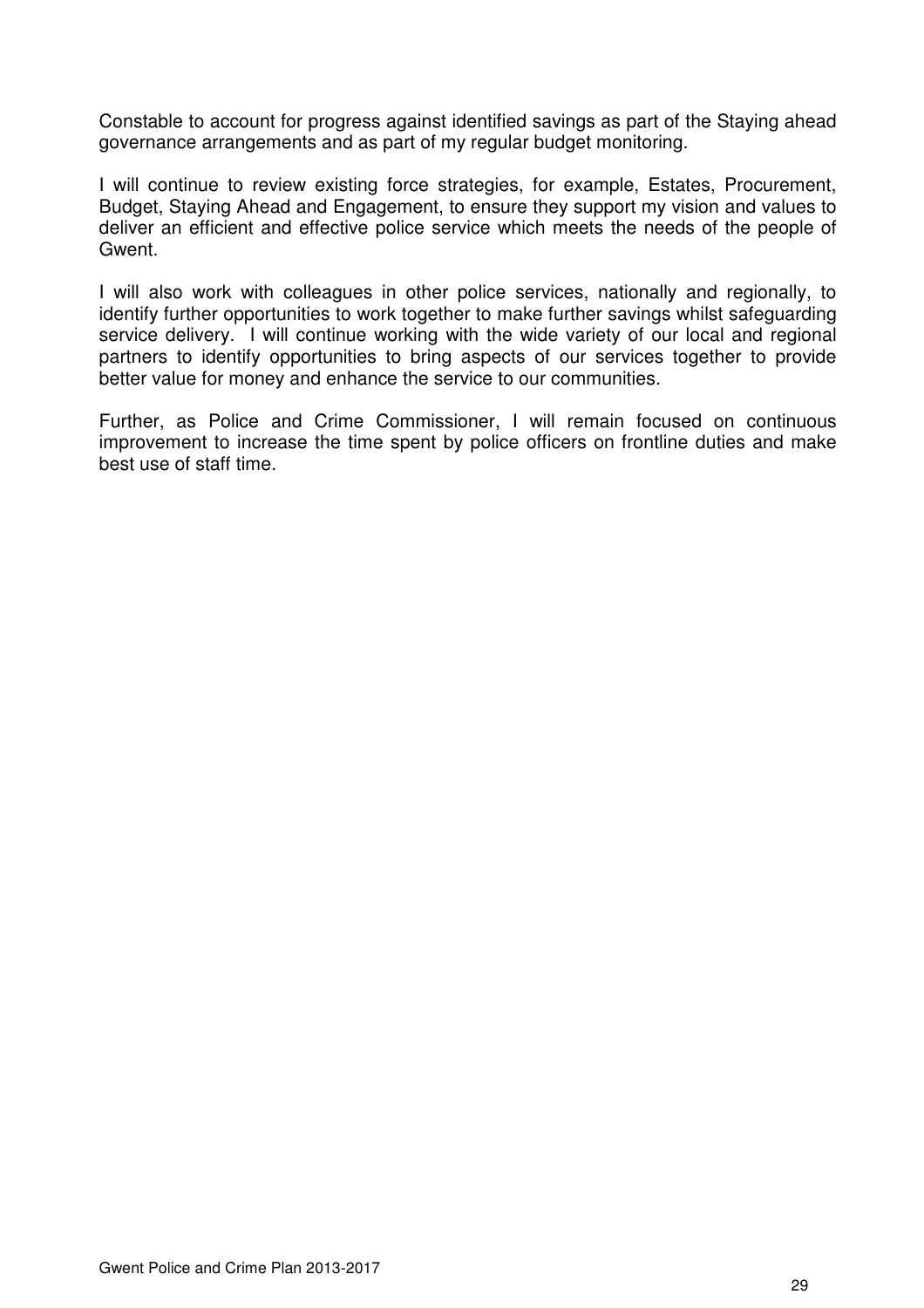Constable to account for progress against identified savings as part of the Staying ahead governance arrangements and as part of my regular budget monitoring.

I will continue to review existing force strategies, for example, Estates, Procurement, Budget, Staying Ahead and Engagement, to ensure they support my vision and values to deliver an efficient and effective police service which meets the needs of the people of Gwent.

I will also work with colleagues in other police services, nationally and regionally, to identify further opportunities to work together to make further savings whilst safeguarding service delivery. I will continue working with the wide variety of our local and regional partners to identify opportunities to bring aspects of our services together to provide better value for money and enhance the service to our communities.

Further, as Police and Crime Commissioner, I will remain focused on continuous improvement to increase the time spent by police officers on frontline duties and make best use of staff time.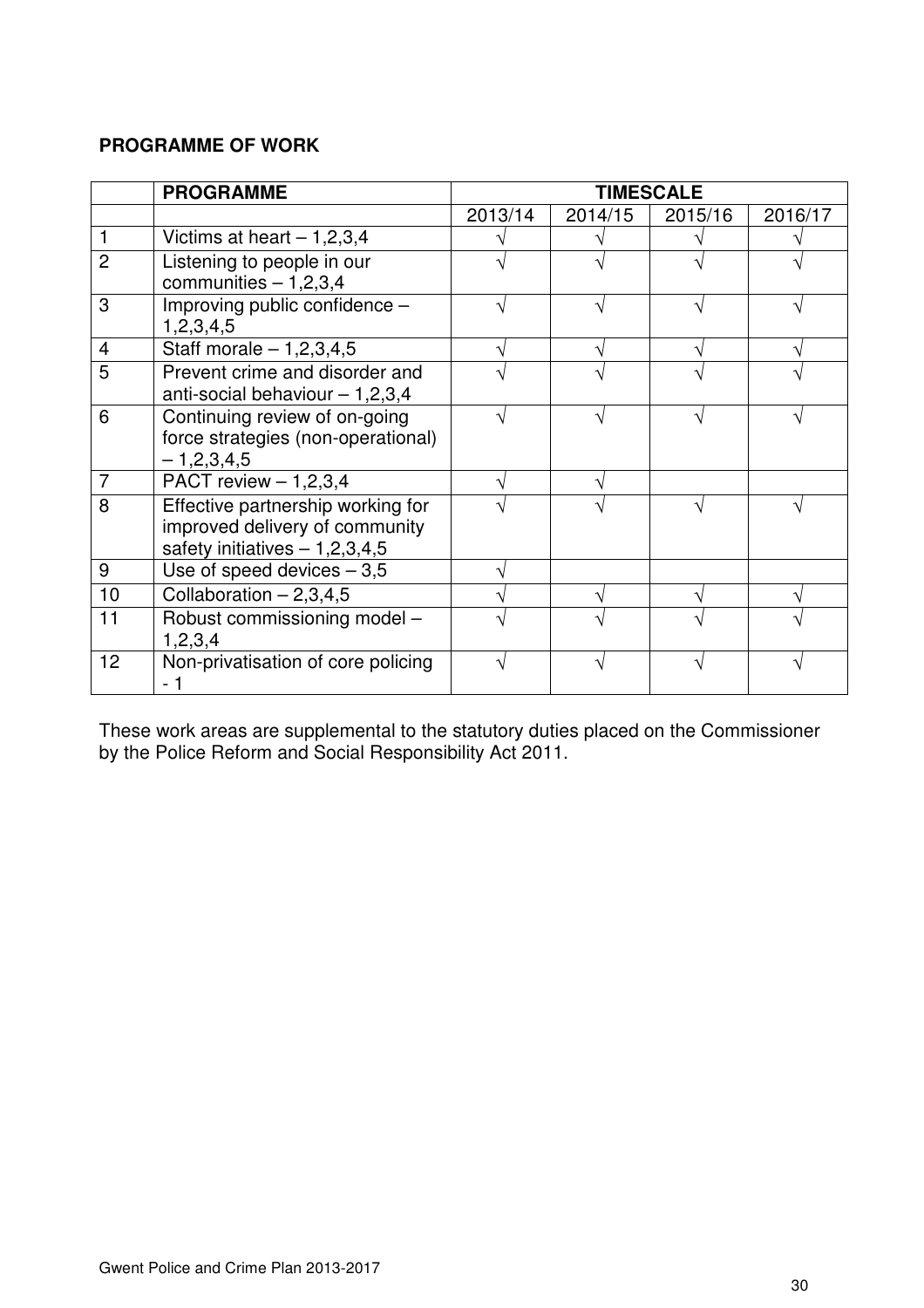## **PROGRAMME OF WORK**

|                | <b>PROGRAMME</b>                                                                                       | <b>TIMESCALE</b> |         |         |         |
|----------------|--------------------------------------------------------------------------------------------------------|------------------|---------|---------|---------|
|                |                                                                                                        | 2013/14          | 2014/15 | 2015/16 | 2016/17 |
| 1              | Victims at heart $-1,2,3,4$                                                                            |                  |         |         |         |
| $\overline{2}$ | Listening to people in our<br>communities $-1,2,3,4$                                                   |                  |         |         |         |
| 3              | Improving public confidence -<br>1,2,3,4,5                                                             |                  |         |         |         |
| $\overline{4}$ | Staff morale $-1,2,3,4,5$                                                                              |                  |         |         |         |
| 5              | Prevent crime and disorder and<br>anti-social behaviour $-1,2,3,4$                                     |                  |         |         |         |
| 6              | Continuing review of on-going<br>force strategies (non-operational)<br>$-1,2,3,4,5$                    |                  |         |         |         |
| $\overline{7}$ | PACT review $- 1,2,3,4$                                                                                |                  |         |         |         |
| 8              | Effective partnership working for<br>improved delivery of community<br>safety initiatives $-1,2,3,4,5$ |                  |         |         |         |
| 9              | Use of speed devices $-3,5$                                                                            |                  |         |         |         |
| 10             | Collaboration $-2,3,4,5$                                                                               |                  |         |         |         |
| 11             | Robust commissioning model -<br>1, 2, 3, 4                                                             |                  |         |         |         |
| 12             | Non-privatisation of core policing                                                                     |                  |         |         |         |

These work areas are supplemental to the statutory duties placed on the Commissioner by the Police Reform and Social Responsibility Act 2011.